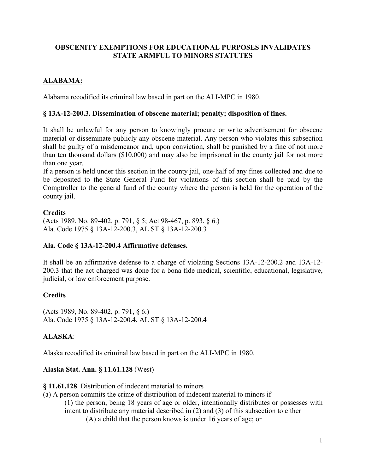# **OBSCENITY EXEMPTIONS FOR EDUCATIONAL PURPOSES INVALIDATES STATE ARMFUL TO MINORS STATUTES**

# **ALABAMA:**

Alabama recodified its criminal law based in part on the ALI-MPC in 1980.

### **§ 13A-12-200.3. Dissemination of obscene material; penalty; disposition of fines.**

It shall be unlawful for any person to knowingly procure or write advertisement for obscene material or disseminate publicly any obscene material. Any person who violates this subsection shall be guilty of a misdemeanor and, upon conviction, shall be punished by a fine of not more than ten thousand dollars (\$10,000) and may also be imprisoned in the county jail for not more than one year.

If a person is held under this section in the county jail, one-half of any fines collected and due to be deposited to the State General Fund for violations of this section shall be paid by the Comptroller to the general fund of the county where the person is held for the operation of the county jail.

# **Credits**

(Acts 1989, No. 89-402, p. 791, § 5; Act 98-467, p. 893, § 6.) Ala. Code 1975 § 13A-12-200.3, AL ST § 13A-12-200.3

# **Ala. Code § 13A-12-200.4 Affirmative defenses.**

It shall be an affirmative defense to a charge of violating Sections 13A-12-200.2 and 13A-12- 200.3 that the act charged was done for a bona fide medical, scientific, educational, legislative, judicial, or law enforcement purpose.

# **Credits**

(Acts 1989, No. 89-402, p. 791, § 6.) Ala. Code 1975 § 13A-12-200.4, AL ST § 13A-12-200.4

# **ALASKA**:

Alaska recodified its criminal law based in part on the ALI-MPC in 1980.

# **Alaska Stat. Ann. § 11.61.128** (West)

**§ 11.61.128**. Distribution of indecent material to minors

(a) A person commits the crime of distribution of indecent material to minors if (1) the person, being 18 years of age or older, intentionally distributes or possesses with intent to distribute any material described in (2) and (3) of this subsection to either (A) a child that the person knows is under 16 years of age; or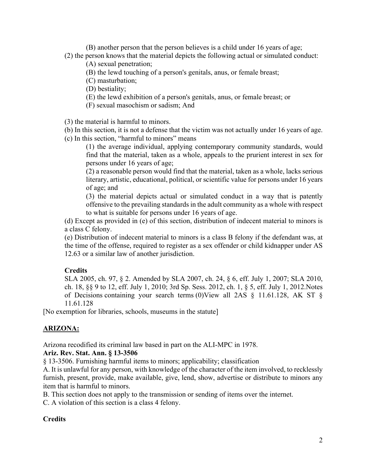(B) another person that the person believes is a child under 16 years of age; (2) the person knows that the material depicts the following actual or simulated conduct:

(A) sexual penetration;

(B) the lewd touching of a person's genitals, anus, or female breast;

(C) masturbation;

(D) bestiality;

(E) the lewd exhibition of a person's genitals, anus, or female breast; or

(F) sexual masochism or sadism; And

(3) the material is harmful to minors.

(b) In this section, it is not a defense that the victim was not actually under 16 years of age. (c) In this section, "harmful to minors" means

(1) the average individual, applying contemporary community standards, would find that the material, taken as a whole, appeals to the prurient interest in sex for persons under 16 years of age;

(2) a reasonable person would find that the material, taken as a whole, lacks serious literary, artistic, educational, political, or scientific value for persons under 16 years of age; and

(3) the material depicts actual or simulated conduct in a way that is patently offensive to the prevailing standards in the adult community as a whole with respect to what is suitable for persons under 16 years of age.

(d) Except as provided in (e) of this section, distribution of indecent material to minors is a class C felony.

(e) Distribution of indecent material to minors is a class B felony if the defendant was, at the time of the offense, required to register as a sex offender or child kidnapper under AS 12.63 or a similar law of another jurisdiction.

# **Credits**

SLA 2005, ch. 97, § 2. Amended by SLA 2007, ch. 24, § 6, eff. July 1, 2007; SLA 2010, ch. 18, §§ 9 to 12, eff. July 1, 2010; 3rd Sp. Sess. 2012, ch. 1, § 5, eff. July 1, 2012.Notes of Decisions containing your search terms (0)View all 2AS § 11.61.128, AK ST § 11.61.128

[No exemption for libraries, schools, museums in the statute]

# **ARIZONA:**

Arizona recodified its criminal law based in part on the ALI-MPC in 1978.

# **Ariz. Rev. Stat. Ann. § 13-3506**

§ 13-3506. Furnishing harmful items to minors; applicability; classification

A. It is unlawful for any person, with knowledge of the character of the item involved, to recklessly furnish, present, provide, make available, give, lend, show, advertise or distribute to minors any item that is harmful to minors.

B. This section does not apply to the transmission or sending of items over the internet.

C. A violation of this section is a class 4 felony.

# **Credits**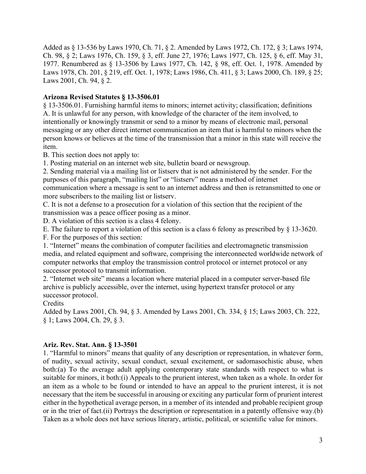Added as § 13-536 by Laws 1970, Ch. 71, § 2. Amended by Laws 1972, Ch. 172, § 3; Laws 1974, Ch. 98, § 2; Laws 1976, Ch. 159, § 3, eff. June 27, 1976; Laws 1977, Ch. 125, § 6, eff. May 31, 1977. Renumbered as § 13-3506 by Laws 1977, Ch. 142, § 98, eff. Oct. 1, 1978. Amended by Laws 1978, Ch. 201, § 219, eff. Oct. 1, 1978; Laws 1986, Ch. 411, § 3; Laws 2000, Ch. 189, § 25; Laws 2001, Ch. 94, § 2.

# **Arizona Revised Statutes § 13-3506.01**

§ 13-3506.01. Furnishing harmful items to minors; internet activity; classification; definitions A. It is unlawful for any person, with knowledge of the character of the item involved, to intentionally or knowingly transmit or send to a minor by means of electronic mail, personal messaging or any other direct internet communication an item that is harmful to minors when the person knows or believes at the time of the transmission that a minor in this state will receive the item.

B. This section does not apply to:

1. Posting material on an internet web site, bulletin board or newsgroup.

2. Sending material via a mailing list or listserv that is not administered by the sender. For the purposes of this paragraph, "mailing list" or "listserv" means a method of internet communication where a message is sent to an internet address and then is retransmitted to one or more subscribers to the mailing list or listserv.

C. It is not a defense to a prosecution for a violation of this section that the recipient of the transmission was a peace officer posing as a minor.

D. A violation of this section is a class 4 felony.

E. The failure to report a violation of this section is a class 6 felony as prescribed by § 13-3620.

F. For the purposes of this section:

1. "Internet" means the combination of computer facilities and electromagnetic transmission media, and related equipment and software, comprising the interconnected worldwide network of computer networks that employ the transmission control protocol or internet protocol or any successor protocol to transmit information.

2. "Internet web site" means a location where material placed in a computer server-based file archive is publicly accessible, over the internet, using hypertext transfer protocol or any successor protocol.

**Credits** 

Added by Laws 2001, Ch. 94, § 3. Amended by Laws 2001, Ch. 334, § 15; Laws 2003, Ch. 222, § 1; Laws 2004, Ch. 29, § 3.

# **Ariz. Rev. Stat. Ann. § 13-3501**

1. "Harmful to minors" means that quality of any description or representation, in whatever form, of nudity, sexual activity, sexual conduct, sexual excitement, or sadomasochistic abuse, when both:(a) To the average adult applying contemporary state standards with respect to what is suitable for minors, it both:(i) Appeals to the prurient interest, when taken as a whole. In order for an item as a whole to be found or intended to have an appeal to the prurient interest, it is not necessary that the item be successful in arousing or exciting any particular form of prurient interest either in the hypothetical average person, in a member of its intended and probable recipient group or in the trier of fact.(ii) Portrays the description or representation in a patently offensive way.(b) Taken as a whole does not have serious literary, artistic, political, or scientific value for minors.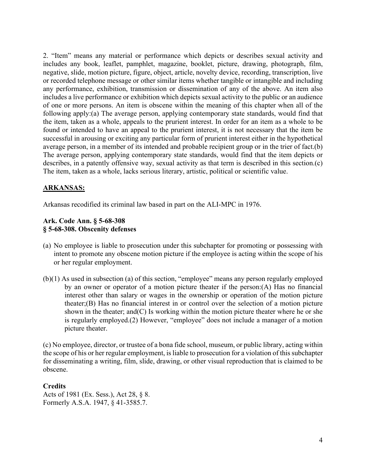2. "Item" means any material or performance which depicts or describes sexual activity and includes any book, leaflet, pamphlet, magazine, booklet, picture, drawing, photograph, film, negative, slide, motion picture, figure, object, article, novelty device, recording, transcription, live or recorded telephone message or other similar items whether tangible or intangible and including any performance, exhibition, transmission or dissemination of any of the above. An item also includes a live performance or exhibition which depicts sexual activity to the public or an audience of one or more persons. An item is obscene within the meaning of this chapter when all of the following apply:(a) The average person, applying contemporary state standards, would find that the item, taken as a whole, appeals to the prurient interest. In order for an item as a whole to be found or intended to have an appeal to the prurient interest, it is not necessary that the item be successful in arousing or exciting any particular form of prurient interest either in the hypothetical average person, in a member of its intended and probable recipient group or in the trier of fact.(b) The average person, applying contemporary state standards, would find that the item depicts or describes, in a patently offensive way, sexual activity as that term is described in this section.(c) The item, taken as a whole, lacks serious literary, artistic, political or scientific value.

# **ARKANSAS:**

Arkansas recodified its criminal law based in part on the ALI-MPC in 1976.

#### **Ark. Code Ann. § 5-68-308 § 5-68-308. Obscenity defenses**

- (a) No employee is liable to prosecution under this subchapter for promoting or possessing with intent to promote any obscene motion picture if the employee is acting within the scope of his or her regular employment.
- (b)(1) As used in subsection (a) of this section, "employee" means any person regularly employed by an owner or operator of a motion picture theater if the person:(A) Has no financial interest other than salary or wages in the ownership or operation of the motion picture theater;(B) Has no financial interest in or control over the selection of a motion picture shown in the theater; and  $(C)$  Is working within the motion picture theater where he or she is regularly employed.(2) However, "employee" does not include a manager of a motion picture theater.

(c) No employee, director, or trustee of a bona fide school, museum, or public library, acting within the scope of his or her regular employment, is liable to prosecution for a violation of this subchapter for disseminating a writing, film, slide, drawing, or other visual reproduction that is claimed to be obscene.

#### **Credits**

Acts of 1981 (Ex. Sess.), Act 28, § 8. Formerly A.S.A. 1947, § 41-3585.7.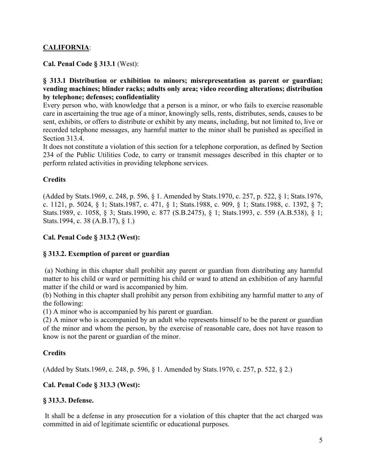# **CALIFORNIA**:

**Cal. Penal Code § 313.1** (West):

#### **§ 313.1 Distribution or exhibition to minors; misrepresentation as parent or guardian; vending machines; blinder racks; adults only area; video recording alterations; distribution by telephone; defenses; confidentiality**

Every person who, with knowledge that a person is a minor, or who fails to exercise reasonable care in ascertaining the true age of a minor, knowingly sells, rents, distributes, sends, causes to be sent, exhibits, or offers to distribute or exhibit by any means, including, but not limited to, live or recorded telephone messages, any harmful matter to the minor shall be punished as specified in Section 313.4.

It does not constitute a violation of this section for a telephone corporation, as defined by Section 234 of the Public Utilities Code, to carry or transmit messages described in this chapter or to perform related activities in providing telephone services.

### **Credits**

(Added by Stats.1969, c. 248, p. 596, § 1. Amended by Stats.1970, c. 257, p. 522, § 1; Stats.1976, c. 1121, p. 5024, § 1; Stats.1987, c. 471, § 1; Stats.1988, c. 909, § 1; Stats.1988, c. 1392, § 7; Stats.1989, c. 1058, § 3; Stats.1990, c. 877 (S.B.2475), § 1; Stats.1993, c. 559 (A.B.538), § 1; Stats.1994, c. 38 (A.B.17), § 1.)

### **Cal. Penal Code § 313.2 (West):**

# **§ 313.2. Exemption of parent or guardian**

(a) Nothing in this chapter shall prohibit any parent or guardian from distributing any harmful matter to his child or ward or permitting his child or ward to attend an exhibition of any harmful matter if the child or ward is accompanied by him.

(b) Nothing in this chapter shall prohibit any person from exhibiting any harmful matter to any of the following:

(1) A minor who is accompanied by his parent or guardian.

(2) A minor who is accompanied by an adult who represents himself to be the parent or guardian of the minor and whom the person, by the exercise of reasonable care, does not have reason to know is not the parent or guardian of the minor.

#### **Credits**

(Added by Stats.1969, c. 248, p. 596, § 1. Amended by Stats.1970, c. 257, p. 522, § 2.)

# **Cal. Penal Code § 313.3 (West):**

#### **§ 313.3. Defense.**

It shall be a defense in any prosecution for a violation of this chapter that the act charged was committed in aid of legitimate scientific or educational purposes.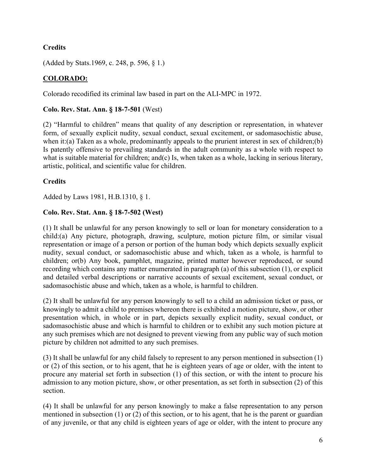# **Credits**

(Added by Stats.1969, c. 248, p. 596, § 1.)

# **COLORADO:**

Colorado recodified its criminal law based in part on the ALI-MPC in 1972.

### **Colo. Rev. Stat. Ann. § 18-7-501** (West)

(2) "Harmful to children" means that quality of any description or representation, in whatever form, of sexually explicit nudity, sexual conduct, sexual excitement, or sadomasochistic abuse, when it:(a) Taken as a whole, predominantly appeals to the prurient interest in sex of children;(b) Is patently offensive to prevailing standards in the adult community as a whole with respect to what is suitable material for children; and(c) Is, when taken as a whole, lacking in serious literary, artistic, political, and scientific value for children.

# **Credits**

Added by Laws 1981, H.B.1310, § 1.

# **Colo. Rev. Stat. Ann. § 18-7-502 (West)**

(1) It shall be unlawful for any person knowingly to sell or loan for monetary consideration to a child:(a) Any picture, photograph, drawing, sculpture, motion picture film, or similar visual representation or image of a person or portion of the human body which depicts sexually explicit nudity, sexual conduct, or sadomasochistic abuse and which, taken as a whole, is harmful to children; or(b) Any book, pamphlet, magazine, printed matter however reproduced, or sound recording which contains any matter enumerated in paragraph (a) of this subsection (1), or explicit and detailed verbal descriptions or narrative accounts of sexual excitement, sexual conduct, or sadomasochistic abuse and which, taken as a whole, is harmful to children.

(2) It shall be unlawful for any person knowingly to sell to a child an admission ticket or pass, or knowingly to admit a child to premises whereon there is exhibited a motion picture, show, or other presentation which, in whole or in part, depicts sexually explicit nudity, sexual conduct, or sadomasochistic abuse and which is harmful to children or to exhibit any such motion picture at any such premises which are not designed to prevent viewing from any public way of such motion picture by children not admitted to any such premises.

(3) It shall be unlawful for any child falsely to represent to any person mentioned in subsection (1) or (2) of this section, or to his agent, that he is eighteen years of age or older, with the intent to procure any material set forth in subsection (1) of this section, or with the intent to procure his admission to any motion picture, show, or other presentation, as set forth in subsection (2) of this section.

(4) It shall be unlawful for any person knowingly to make a false representation to any person mentioned in subsection (1) or (2) of this section, or to his agent, that he is the parent or guardian of any juvenile, or that any child is eighteen years of age or older, with the intent to procure any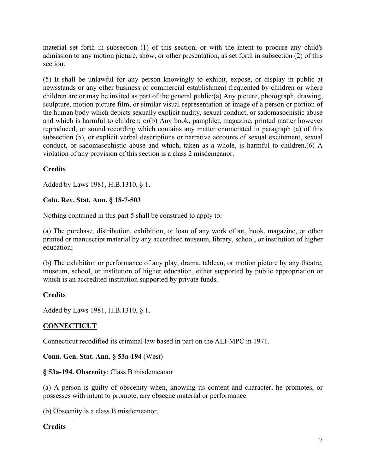material set forth in subsection (1) of this section, or with the intent to procure any child's admission to any motion picture, show, or other presentation, as set forth in subsection (2) of this section.

(5) It shall be unlawful for any person knowingly to exhibit, expose, or display in public at newsstands or any other business or commercial establishment frequented by children or where children are or may be invited as part of the general public:(a) Any picture, photograph, drawing, sculpture, motion picture film, or similar visual representation or image of a person or portion of the human body which depicts sexually explicit nudity, sexual conduct, or sadomasochistic abuse and which is harmful to children; or(b) Any book, pamphlet, magazine, printed matter however reproduced, or sound recording which contains any matter enumerated in paragraph (a) of this subsection (5), or explicit verbal descriptions or narrative accounts of sexual excitement, sexual conduct, or sadomasochistic abuse and which, taken as a whole, is harmful to children.(6) A violation of any provision of this section is a class 2 misdemeanor.

# **Credits**

Added by Laws 1981, H.B.1310, § 1.

# **Colo. Rev. Stat. Ann. § 18-7-503**

Nothing contained in this part 5 shall be construed to apply to:

(a) The purchase, distribution, exhibition, or loan of any work of art, book, magazine, or other printed or manuscript material by any accredited museum, library, school, or institution of higher education;

(b) The exhibition or performance of any play, drama, tableau, or motion picture by any theatre, museum, school, or institution of higher education, either supported by public appropriation or which is an accredited institution supported by private funds.

# **Credits**

Added by Laws 1981, H.B.1310, § 1.

# **CONNECTICUT**

Connecticut recodified its criminal law based in part on the ALI-MPC in 1971.

# **Conn. Gen. Stat. Ann. § 53a-194** (West)

# **§ 53a-194. Obscenity**: Class B misdemeanor

(a) A person is guilty of obscenity when, knowing its content and character, he promotes, or possesses with intent to promote, any obscene material or performance.

(b) Obscenity is a class B misdemeanor.

# **Credits**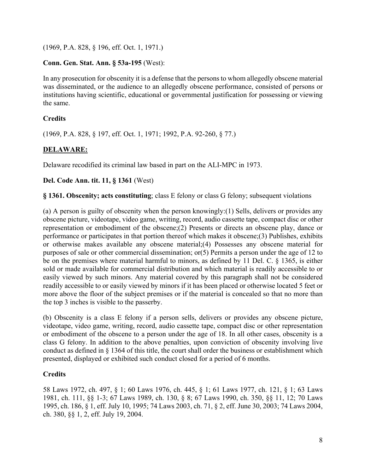(1969, P.A. 828, § 196, eff. Oct. 1, 1971.)

# **Conn. Gen. Stat. Ann. § 53a-195** (West):

In any prosecution for obscenity it is a defense that the persons to whom allegedly obscene material was disseminated, or the audience to an allegedly obscene performance, consisted of persons or institutions having scientific, educational or governmental justification for possessing or viewing the same.

# **Credits**

(1969, P.A. 828, § 197, eff. Oct. 1, 1971; 1992, P.A. 92-260, § 77.)

# **DELAWARE:**

Delaware recodified its criminal law based in part on the ALI-MPC in 1973.

# **Del. Code Ann. tit. 11, § 1361** (West)

**§ 1361. Obscenity; acts constituting**; class E felony or class G felony; subsequent violations

(a) A person is guilty of obscenity when the person knowingly:(1) Sells, delivers or provides any obscene picture, videotape, video game, writing, record, audio cassette tape, compact disc or other representation or embodiment of the obscene;(2) Presents or directs an obscene play, dance or performance or participates in that portion thereof which makes it obscene;(3) Publishes, exhibits or otherwise makes available any obscene material;(4) Possesses any obscene material for purposes of sale or other commercial dissemination; or(5) Permits a person under the age of 12 to be on the premises where material harmful to minors, as defined by 11 Del. C. § 1365, is either sold or made available for commercial distribution and which material is readily accessible to or easily viewed by such minors. Any material covered by this paragraph shall not be considered readily accessible to or easily viewed by minors if it has been placed or otherwise located 5 feet or more above the floor of the subject premises or if the material is concealed so that no more than the top 3 inches is visible to the passerby.

(b) Obscenity is a class E felony if a person sells, delivers or provides any obscene picture, videotape, video game, writing, record, audio cassette tape, compact disc or other representation or embodiment of the obscene to a person under the age of 18. In all other cases, obscenity is a class G felony. In addition to the above penalties, upon conviction of obscenity involving live conduct as defined in § 1364 of this title, the court shall order the business or establishment which presented, displayed or exhibited such conduct closed for a period of 6 months.

# **Credits**

58 Laws 1972, ch. 497, § 1; 60 Laws 1976, ch. 445, § 1; 61 Laws 1977, ch. 121, § 1; 63 Laws 1981, ch. 111, §§ 1-3; 67 Laws 1989, ch. 130, § 8; 67 Laws 1990, ch. 350, §§ 11, 12; 70 Laws 1995, ch. 186, § 1, eff. July 10, 1995; 74 Laws 2003, ch. 71, § 2, eff. June 30, 2003; 74 Laws 2004, ch. 380, §§ 1, 2, eff. July 19, 2004.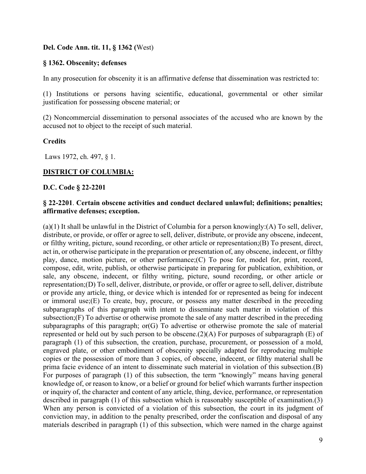#### **Del. Code Ann. tit. 11, § 1362 (**West)

### **§ 1362. Obscenity; defenses**

In any prosecution for obscenity it is an affirmative defense that dissemination was restricted to:

(1) Institutions or persons having scientific, educational, governmental or other similar justification for possessing obscene material; or

(2) Noncommercial dissemination to personal associates of the accused who are known by the accused not to object to the receipt of such material.

### **Credits**

Laws 1972, ch. 497, § 1.

# **DISTRICT OF COLUMBIA:**

#### **D.C. Code § 22-2201**

### **§ 22-2201**. **Certain obscene activities and conduct declared unlawful; definitions; penalties; affirmative defenses; exception.**

(a)(1) It shall be unlawful in the District of Columbia for a person knowingly:(A) To sell, deliver, distribute, or provide, or offer or agree to sell, deliver, distribute, or provide any obscene, indecent, or filthy writing, picture, sound recording, or other article or representation;(B) To present, direct, act in, or otherwise participate in the preparation or presentation of, any obscene, indecent, or filthy play, dance, motion picture, or other performance;(C) To pose for, model for, print, record, compose, edit, write, publish, or otherwise participate in preparing for publication, exhibition, or sale, any obscene, indecent, or filthy writing, picture, sound recording, or other article or representation;(D) To sell, deliver, distribute, or provide, or offer or agree to sell, deliver, distribute or provide any article, thing, or device which is intended for or represented as being for indecent or immoral use;(E) To create, buy, procure, or possess any matter described in the preceding subparagraphs of this paragraph with intent to disseminate such matter in violation of this subsection;(F) To advertise or otherwise promote the sale of any matter described in the preceding subparagraphs of this paragraph; or(G) To advertise or otherwise promote the sale of material represented or held out by such person to be obscene.(2)(A) For purposes of subparagraph (E) of paragraph (1) of this subsection, the creation, purchase, procurement, or possession of a mold, engraved plate, or other embodiment of obscenity specially adapted for reproducing multiple copies or the possession of more than 3 copies, of obscene, indecent, or filthy material shall be prima facie evidence of an intent to disseminate such material in violation of this subsection.(B) For purposes of paragraph (1) of this subsection, the term "knowingly" means having general knowledge of, or reason to know, or a belief or ground for belief which warrants further inspection or inquiry of, the character and content of any article, thing, device, performance, or representation described in paragraph (1) of this subsection which is reasonably susceptible of examination.(3) When any person is convicted of a violation of this subsection, the court in its judgment of conviction may, in addition to the penalty prescribed, order the confiscation and disposal of any materials described in paragraph (1) of this subsection, which were named in the charge against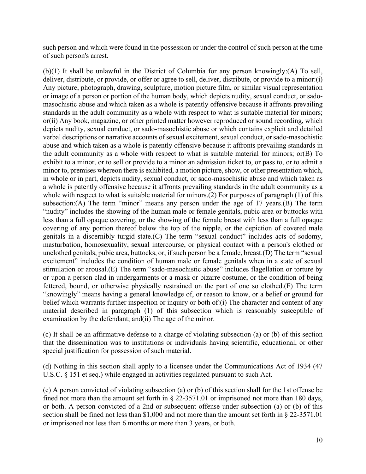such person and which were found in the possession or under the control of such person at the time of such person's arrest.

(b)(1) It shall be unlawful in the District of Columbia for any person knowingly:(A) To sell, deliver, distribute, or provide, or offer or agree to sell, deliver, distribute, or provide to a minor:(i) Any picture, photograph, drawing, sculpture, motion picture film, or similar visual representation or image of a person or portion of the human body, which depicts nudity, sexual conduct, or sadomasochistic abuse and which taken as a whole is patently offensive because it affronts prevailing standards in the adult community as a whole with respect to what is suitable material for minors; or(ii) Any book, magazine, or other printed matter however reproduced or sound recording, which depicts nudity, sexual conduct, or sado-masochistic abuse or which contains explicit and detailed verbal descriptions or narrative accounts of sexual excitement, sexual conduct, or sado-masochistic abuse and which taken as a whole is patently offensive because it affronts prevailing standards in the adult community as a whole with respect to what is suitable material for minors; or(B) To exhibit to a minor, or to sell or provide to a minor an admission ticket to, or pass to, or to admit a minor to, premises whereon there is exhibited, a motion picture, show, or other presentation which, in whole or in part, depicts nudity, sexual conduct, or sado-masochistic abuse and which taken as a whole is patently offensive because it affronts prevailing standards in the adult community as a whole with respect to what is suitable material for minors.(2) For purposes of paragraph (1) of this subsection:(A) The term "minor" means any person under the age of 17 years.(B) The term "nudity" includes the showing of the human male or female genitals, pubic area or buttocks with less than a full opaque covering, or the showing of the female breast with less than a full opaque covering of any portion thereof below the top of the nipple, or the depiction of covered male genitals in a discernibly turgid state.(C) The term "sexual conduct" includes acts of sodomy, masturbation, homosexuality, sexual intercourse, or physical contact with a person's clothed or unclothed genitals, pubic area, buttocks, or, if such person be a female, breast.(D) The term "sexual excitement" includes the condition of human male or female genitals when in a state of sexual stimulation or arousal.(E) The term "sado-masochistic abuse" includes flagellation or torture by or upon a person clad in undergarments or a mask or bizarre costume, or the condition of being fettered, bound, or otherwise physically restrained on the part of one so clothed.(F) The term "knowingly" means having a general knowledge of, or reason to know, or a belief or ground for belief which warrants further inspection or inquiry or both of: (i) The character and content of any material described in paragraph (1) of this subsection which is reasonably susceptible of examination by the defendant; and(ii) The age of the minor.

(c) It shall be an affirmative defense to a charge of violating subsection (a) or (b) of this section that the dissemination was to institutions or individuals having scientific, educational, or other special justification for possession of such material.

(d) Nothing in this section shall apply to a licensee under the Communications Act of 1934 (47 U.S.C. § 151 et seq.) while engaged in activities regulated pursuant to such Act.

(e) A person convicted of violating subsection (a) or (b) of this section shall for the 1st offense be fined not more than the amount set forth in § 22-3571.01 or imprisoned not more than 180 days, or both. A person convicted of a 2nd or subsequent offense under subsection (a) or (b) of this section shall be fined not less than \$1,000 and not more than the amount set forth in § 22-3571.01 or imprisoned not less than 6 months or more than 3 years, or both.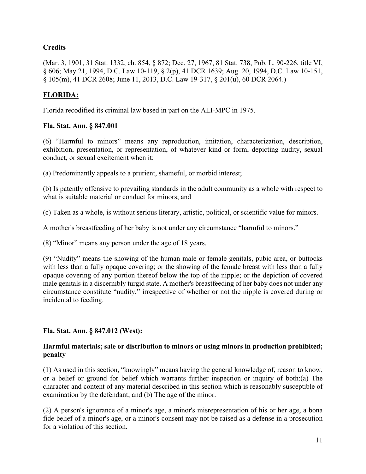# **Credits**

(Mar. 3, 1901, 31 Stat. 1332, ch. 854, § 872; Dec. 27, 1967, 81 Stat. 738, Pub. L. 90-226, title VI, § 606; May 21, 1994, D.C. Law 10-119, § 2(p), 41 DCR 1639; Aug. 20, 1994, D.C. Law 10-151, § 105(m), 41 DCR 2608; June 11, 2013, D.C. Law 19-317, § 201(u), 60 DCR 2064.)

# **FLORIDA:**

Florida recodified its criminal law based in part on the ALI-MPC in 1975.

### **Fla. Stat. Ann. § 847.001**

(6) "Harmful to minors" means any reproduction, imitation, characterization, description, exhibition, presentation, or representation, of whatever kind or form, depicting nudity, sexual conduct, or sexual excitement when it:

(a) Predominantly appeals to a prurient, shameful, or morbid interest;

(b) Is patently offensive to prevailing standards in the adult community as a whole with respect to what is suitable material or conduct for minors; and

(c) Taken as a whole, is without serious literary, artistic, political, or scientific value for minors.

A mother's breastfeeding of her baby is not under any circumstance "harmful to minors."

(8) "Minor" means any person under the age of 18 years.

(9) "Nudity" means the showing of the human male or female genitals, pubic area, or buttocks with less than a fully opaque covering; or the showing of the female breast with less than a fully opaque covering of any portion thereof below the top of the nipple; or the depiction of covered male genitals in a discernibly turgid state. A mother's breastfeeding of her baby does not under any circumstance constitute "nudity," irrespective of whether or not the nipple is covered during or incidental to feeding.

# **Fla. Stat. Ann. § 847.012 (West):**

### **Harmful materials; sale or distribution to minors or using minors in production prohibited; penalty**

(1) As used in this section, "knowingly" means having the general knowledge of, reason to know, or a belief or ground for belief which warrants further inspection or inquiry of both:(a) The character and content of any material described in this section which is reasonably susceptible of examination by the defendant; and (b) The age of the minor.

(2) A person's ignorance of a minor's age, a minor's misrepresentation of his or her age, a bona fide belief of a minor's age, or a minor's consent may not be raised as a defense in a prosecution for a violation of this section.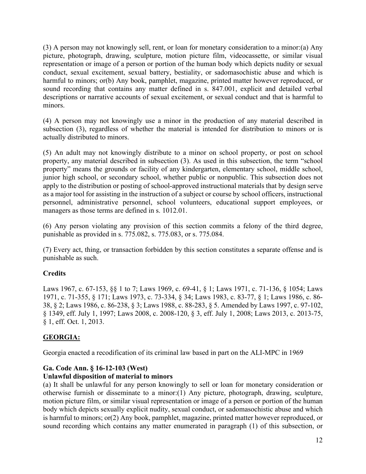(3) A person may not knowingly sell, rent, or loan for monetary consideration to a minor:(a) Any picture, photograph, drawing, sculpture, motion picture film, videocassette, or similar visual representation or image of a person or portion of the human body which depicts nudity or sexual conduct, sexual excitement, sexual battery, bestiality, or sadomasochistic abuse and which is harmful to minors; or(b) Any book, pamphlet, magazine, printed matter however reproduced, or sound recording that contains any matter defined in s. 847.001, explicit and detailed verbal descriptions or narrative accounts of sexual excitement, or sexual conduct and that is harmful to minors.

(4) A person may not knowingly use a minor in the production of any material described in subsection (3), regardless of whether the material is intended for distribution to minors or is actually distributed to minors.

(5) An adult may not knowingly distribute to a minor on school property, or post on school property, any material described in subsection (3). As used in this subsection, the term "school property" means the grounds or facility of any kindergarten, elementary school, middle school, junior high school, or secondary school, whether public or nonpublic. This subsection does not apply to the distribution or posting of school-approved instructional materials that by design serve as a major tool for assisting in the instruction of a subject or course by school officers, instructional personnel, administrative personnel, school volunteers, educational support employees, or managers as those terms are defined in s. 1012.01.

(6) Any person violating any provision of this section commits a felony of the third degree, punishable as provided in s. 775.082, s. 775.083, or s. 775.084.

(7) Every act, thing, or transaction forbidden by this section constitutes a separate offense and is punishable as such.

# **Credits**

Laws 1967, c. 67-153, §§ 1 to 7; Laws 1969, c. 69-41, § 1; Laws 1971, c. 71-136, § 1054; Laws 1971, c. 71-355, § 171; Laws 1973, c. 73-334, § 34; Laws 1983, c. 83-77, § 1; Laws 1986, c. 86- 38, § 2; Laws 1986, c. 86-238, § 3; Laws 1988, c. 88-283, § 5. Amended by Laws 1997, c. 97-102, § 1349, eff. July 1, 1997; Laws 2008, c. 2008-120, § 3, eff. July 1, 2008; Laws 2013, c. 2013-75, § 1, eff. Oct. 1, 2013.

# **GEORGIA:**

Georgia enacted a recodification of its criminal law based in part on the ALI-MPC in 1969

# **Ga. Code Ann. § 16-12-103 (West)**

# **Unlawful disposition of material to minors**

(a) It shall be unlawful for any person knowingly to sell or loan for monetary consideration or otherwise furnish or disseminate to a minor:(1) Any picture, photograph, drawing, sculpture, motion picture film, or similar visual representation or image of a person or portion of the human body which depicts sexually explicit nudity, sexual conduct, or sadomasochistic abuse and which is harmful to minors; or(2) Any book, pamphlet, magazine, printed matter however reproduced, or sound recording which contains any matter enumerated in paragraph (1) of this subsection, or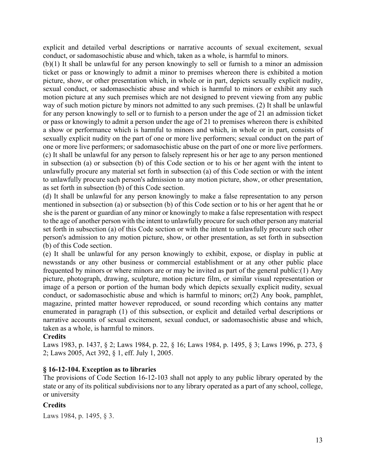explicit and detailed verbal descriptions or narrative accounts of sexual excitement, sexual conduct, or sadomasochistic abuse and which, taken as a whole, is harmful to minors.

(b)(1) It shall be unlawful for any person knowingly to sell or furnish to a minor an admission ticket or pass or knowingly to admit a minor to premises whereon there is exhibited a motion picture, show, or other presentation which, in whole or in part, depicts sexually explicit nudity, sexual conduct, or sadomasochistic abuse and which is harmful to minors or exhibit any such motion picture at any such premises which are not designed to prevent viewing from any public way of such motion picture by minors not admitted to any such premises. (2) It shall be unlawful for any person knowingly to sell or to furnish to a person under the age of 21 an admission ticket or pass or knowingly to admit a person under the age of 21 to premises whereon there is exhibited a show or performance which is harmful to minors and which, in whole or in part, consists of sexually explicit nudity on the part of one or more live performers; sexual conduct on the part of one or more live performers; or sadomasochistic abuse on the part of one or more live performers. (c) It shall be unlawful for any person to falsely represent his or her age to any person mentioned in subsection (a) or subsection (b) of this Code section or to his or her agent with the intent to unlawfully procure any material set forth in subsection (a) of this Code section or with the intent to unlawfully procure such person's admission to any motion picture, show, or other presentation, as set forth in subsection (b) of this Code section.

(d) It shall be unlawful for any person knowingly to make a false representation to any person mentioned in subsection (a) or subsection (b) of this Code section or to his or her agent that he or she is the parent or guardian of any minor or knowingly to make a false representation with respect to the age of another person with the intent to unlawfully procure for such other person any material set forth in subsection (a) of this Code section or with the intent to unlawfully procure such other person's admission to any motion picture, show, or other presentation, as set forth in subsection (b) of this Code section.

(e) It shall be unlawful for any person knowingly to exhibit, expose, or display in public at newsstands or any other business or commercial establishment or at any other public place frequented by minors or where minors are or may be invited as part of the general public:(1) Any picture, photograph, drawing, sculpture, motion picture film, or similar visual representation or image of a person or portion of the human body which depicts sexually explicit nudity, sexual conduct, or sadomasochistic abuse and which is harmful to minors; or(2) Any book, pamphlet, magazine, printed matter however reproduced, or sound recording which contains any matter enumerated in paragraph (1) of this subsection, or explicit and detailed verbal descriptions or narrative accounts of sexual excitement, sexual conduct, or sadomasochistic abuse and which, taken as a whole, is harmful to minors.

#### **Credits**

Laws 1983, p. 1437, § 2; Laws 1984, p. 22, § 16; Laws 1984, p. 1495, § 3; Laws 1996, p. 273, § 2; Laws 2005, Act 392, § 1, eff. July 1, 2005.

#### **§ 16-12-104. Exception as to libraries**

The provisions of Code Section 16-12-103 shall not apply to any public library operated by the state or any of its political subdivisions nor to any library operated as a part of any school, college, or university

#### **Credits**

Laws 1984, p. 1495, § 3.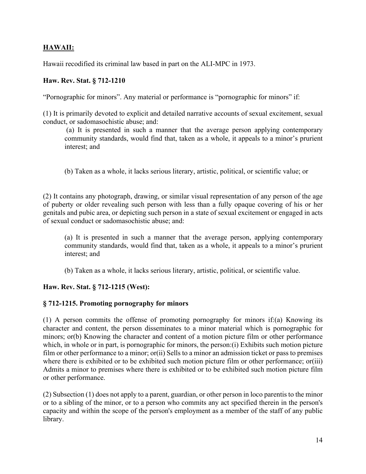# **HAWAII:**

Hawaii recodified its criminal law based in part on the ALI-MPC in 1973.

### **Haw. Rev. Stat. § 712-1210**

"Pornographic for minors". Any material or performance is "pornographic for minors" if:

(1) It is primarily devoted to explicit and detailed narrative accounts of sexual excitement, sexual conduct, or sadomasochistic abuse; and:

(a) It is presented in such a manner that the average person applying contemporary community standards, would find that, taken as a whole, it appeals to a minor's prurient interest; and

(b) Taken as a whole, it lacks serious literary, artistic, political, or scientific value; or

(2) It contains any photograph, drawing, or similar visual representation of any person of the age of puberty or older revealing such person with less than a fully opaque covering of his or her genitals and pubic area, or depicting such person in a state of sexual excitement or engaged in acts of sexual conduct or sadomasochistic abuse; and:

(a) It is presented in such a manner that the average person, applying contemporary community standards, would find that, taken as a whole, it appeals to a minor's prurient interest; and

(b) Taken as a whole, it lacks serious literary, artistic, political, or scientific value.

# **Haw. Rev. Stat. § 712-1215 (West):**

# **§ 712-1215. Promoting pornography for minors**

(1) A person commits the offense of promoting pornography for minors if:(a) Knowing its character and content, the person disseminates to a minor material which is pornographic for minors; or(b) Knowing the character and content of a motion picture film or other performance which, in whole or in part, is pornographic for minors, the person: (i) Exhibits such motion picture film or other performance to a minor; or(ii) Sells to a minor an admission ticket or pass to premises where there is exhibited or to be exhibited such motion picture film or other performance; or(iii) Admits a minor to premises where there is exhibited or to be exhibited such motion picture film or other performance.

(2) Subsection (1) does not apply to a parent, guardian, or other person in loco parentis to the minor or to a sibling of the minor, or to a person who commits any act specified therein in the person's capacity and within the scope of the person's employment as a member of the staff of any public library.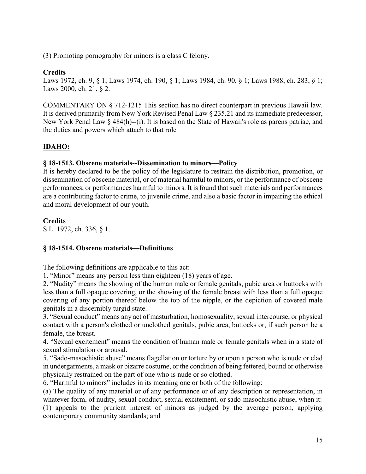(3) Promoting pornography for minors is a class C felony.

# **Credits**

Laws 1972, ch. 9, § 1; Laws 1974, ch. 190, § 1; Laws 1984, ch. 90, § 1; Laws 1988, ch. 283, § 1; Laws 2000, ch. 21, § 2.

COMMENTARY ON § 712-1215 This section has no direct counterpart in previous Hawaii law. It is derived primarily from New York Revised Penal Law § 235.21 and its immediate predecessor, New York Penal Law § 484(h)--(i). It is based on the State of Hawaii's role as parens patriae, and the duties and powers which attach to that role

# **IDAHO:**

### **§ 18-1513. Obscene materials--Dissemination to minors—Policy**

It is hereby declared to be the policy of the legislature to restrain the distribution, promotion, or dissemination of obscene material, or of material harmful to minors, or the performance of obscene performances, or performances harmful to minors. It is found that such materials and performances are a contributing factor to crime, to juvenile crime, and also a basic factor in impairing the ethical and moral development of our youth.

### **Credits**

S.L. 1972, ch. 336, § 1.

# **§ 18-1514. Obscene materials—Definitions**

The following definitions are applicable to this act:

1. "Minor" means any person less than eighteen (18) years of age.

2. "Nudity" means the showing of the human male or female genitals, pubic area or buttocks with less than a full opaque covering, or the showing of the female breast with less than a full opaque covering of any portion thereof below the top of the nipple, or the depiction of covered male genitals in a discernibly turgid state.

3. "Sexual conduct" means any act of masturbation, homosexuality, sexual intercourse, or physical contact with a person's clothed or unclothed genitals, pubic area, buttocks or, if such person be a female, the breast.

4. "Sexual excitement" means the condition of human male or female genitals when in a state of sexual stimulation or arousal.

5. "Sado-masochistic abuse" means flagellation or torture by or upon a person who is nude or clad in undergarments, a mask or bizarre costume, or the condition of being fettered, bound or otherwise physically restrained on the part of one who is nude or so clothed.

6. "Harmful to minors" includes in its meaning one or both of the following:

(a) The quality of any material or of any performance or of any description or representation, in whatever form, of nudity, sexual conduct, sexual excitement, or sado-masochistic abuse, when it: (1) appeals to the prurient interest of minors as judged by the average person, applying contemporary community standards; and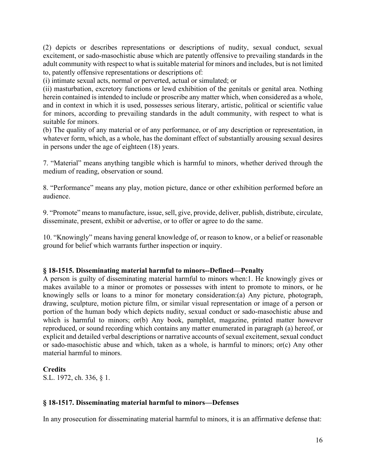(2) depicts or describes representations or descriptions of nudity, sexual conduct, sexual excitement, or sado-masochistic abuse which are patently offensive to prevailing standards in the adult community with respect to what is suitable material for minors and includes, but is not limited to, patently offensive representations or descriptions of:

(i) intimate sexual acts, normal or perverted, actual or simulated; or

(ii) masturbation, excretory functions or lewd exhibition of the genitals or genital area. Nothing herein contained is intended to include or proscribe any matter which, when considered as a whole, and in context in which it is used, possesses serious literary, artistic, political or scientific value for minors, according to prevailing standards in the adult community, with respect to what is suitable for minors.

(b) The quality of any material or of any performance, or of any description or representation, in whatever form, which, as a whole, has the dominant effect of substantially arousing sexual desires in persons under the age of eighteen (18) years.

7. "Material" means anything tangible which is harmful to minors, whether derived through the medium of reading, observation or sound.

8. "Performance" means any play, motion picture, dance or other exhibition performed before an audience.

9. "Promote" means to manufacture, issue, sell, give, provide, deliver, publish, distribute, circulate, disseminate, present, exhibit or advertise, or to offer or agree to do the same.

10. "Knowingly" means having general knowledge of, or reason to know, or a belief or reasonable ground for belief which warrants further inspection or inquiry.

#### **§ 18-1515. Disseminating material harmful to minors--Defined—Penalty**

A person is guilty of disseminating material harmful to minors when:1. He knowingly gives or makes available to a minor or promotes or possesses with intent to promote to minors, or he knowingly sells or loans to a minor for monetary consideration:(a) Any picture, photograph, drawing, sculpture, motion picture film, or similar visual representation or image of a person or portion of the human body which depicts nudity, sexual conduct or sado-masochistic abuse and which is harmful to minors; or(b) Any book, pamphlet, magazine, printed matter however reproduced, or sound recording which contains any matter enumerated in paragraph (a) hereof, or explicit and detailed verbal descriptions or narrative accounts of sexual excitement, sexual conduct or sado-masochistic abuse and which, taken as a whole, is harmful to minors; or(c) Any other material harmful to minors.

# **Credits**

S.L. 1972, ch. 336, § 1.

#### **§ 18-1517. Disseminating material harmful to minors—Defenses**

In any prosecution for disseminating material harmful to minors, it is an affirmative defense that: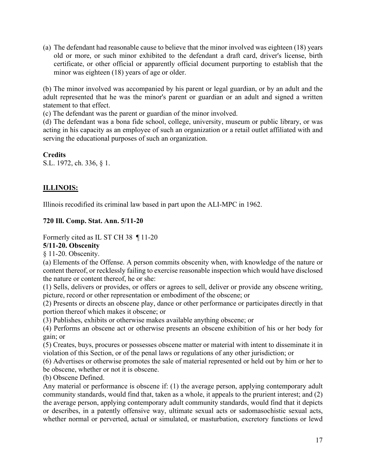(a) The defendant had reasonable cause to believe that the minor involved was eighteen (18) years old or more, or such minor exhibited to the defendant a draft card, driver's license, birth certificate, or other official or apparently official document purporting to establish that the minor was eighteen (18) years of age or older.

(b) The minor involved was accompanied by his parent or legal guardian, or by an adult and the adult represented that he was the minor's parent or guardian or an adult and signed a written statement to that effect.

(c) The defendant was the parent or guardian of the minor involved.

(d) The defendant was a bona fide school, college, university, museum or public library, or was acting in his capacity as an employee of such an organization or a retail outlet affiliated with and serving the educational purposes of such an organization.

**Credits** S.L. 1972, ch. 336, § 1.

# **ILLINOIS:**

Illinois recodified its criminal law based in part upon the ALI-MPC in 1962.

### **720 Ill. Comp. Stat. Ann. 5/11-20**

Formerly cited as IL ST CH 38 ¶ 11-20

#### **5/11-20. Obscenity**

§ 11-20. Obscenity.

(a) Elements of the Offense. A person commits obscenity when, with knowledge of the nature or content thereof, or recklessly failing to exercise reasonable inspection which would have disclosed the nature or content thereof, he or she:

(1) Sells, delivers or provides, or offers or agrees to sell, deliver or provide any obscene writing, picture, record or other representation or embodiment of the obscene; or

(2) Presents or directs an obscene play, dance or other performance or participates directly in that portion thereof which makes it obscene; or

(3) Publishes, exhibits or otherwise makes available anything obscene; or

(4) Performs an obscene act or otherwise presents an obscene exhibition of his or her body for gain; or

(5) Creates, buys, procures or possesses obscene matter or material with intent to disseminate it in violation of this Section, or of the penal laws or regulations of any other jurisdiction; or

(6) Advertises or otherwise promotes the sale of material represented or held out by him or her to be obscene, whether or not it is obscene.

(b) Obscene Defined.

Any material or performance is obscene if: (1) the average person, applying contemporary adult community standards, would find that, taken as a whole, it appeals to the prurient interest; and (2) the average person, applying contemporary adult community standards, would find that it depicts or describes, in a patently offensive way, ultimate sexual acts or sadomasochistic sexual acts, whether normal or perverted, actual or simulated, or masturbation, excretory functions or lewd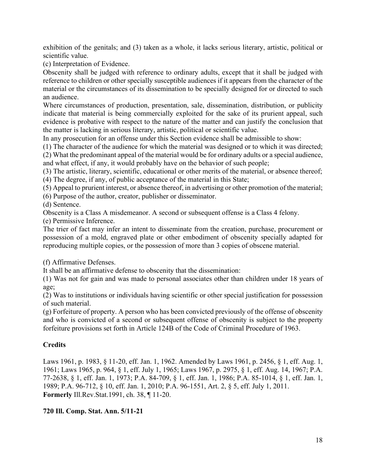exhibition of the genitals; and (3) taken as a whole, it lacks serious literary, artistic, political or scientific value.

(c) Interpretation of Evidence.

Obscenity shall be judged with reference to ordinary adults, except that it shall be judged with reference to children or other specially susceptible audiences if it appears from the character of the material or the circumstances of its dissemination to be specially designed for or directed to such an audience.

Where circumstances of production, presentation, sale, dissemination, distribution, or publicity indicate that material is being commercially exploited for the sake of its prurient appeal, such evidence is probative with respect to the nature of the matter and can justify the conclusion that the matter is lacking in serious literary, artistic, political or scientific value.

In any prosecution for an offense under this Section evidence shall be admissible to show:

(1) The character of the audience for which the material was designed or to which it was directed; (2) What the predominant appeal of the material would be for ordinary adults or a special audience,

and what effect, if any, it would probably have on the behavior of such people;

(3) The artistic, literary, scientific, educational or other merits of the material, or absence thereof; (4) The degree, if any, of public acceptance of the material in this State;

(5) Appeal to prurient interest, or absence thereof, in advertising or other promotion of the material;

(6) Purpose of the author, creator, publisher or disseminator.

(d) Sentence.

Obscenity is a Class A misdemeanor. A second or subsequent offense is a Class 4 felony.

(e) Permissive Inference.

The trier of fact may infer an intent to disseminate from the creation, purchase, procurement or possession of a mold, engraved plate or other embodiment of obscenity specially adapted for reproducing multiple copies, or the possession of more than 3 copies of obscene material.

(f) Affirmative Defenses.

It shall be an affirmative defense to obscenity that the dissemination:

(1) Was not for gain and was made to personal associates other than children under 18 years of age;

(2) Was to institutions or individuals having scientific or other special justification for possession of such material.

(g) Forfeiture of property. A person who has been convicted previously of the offense of obscenity and who is convicted of a second or subsequent offense of obscenity is subject to the property forfeiture provisions set forth in Article 124B of the Code of Criminal Procedure of 1963.

# **Credits**

Laws 1961, p. 1983, § 11-20, eff. Jan. 1, 1962. Amended by Laws 1961, p. 2456, § 1, eff. Aug. 1, 1961; Laws 1965, p. 964, § 1, eff. July 1, 1965; Laws 1967, p. 2975, § 1, eff. Aug. 14, 1967; P.A. 77-2638, § 1, eff. Jan. 1, 1973; P.A. 84-709, § 1, eff. Jan. 1, 1986; P.A. 85-1014, § 1, eff. Jan. 1, 1989; P.A. 96-712, § 10, eff. Jan. 1, 2010; P.A. 96-1551, Art. 2, § 5, eff. July 1, 2011. **Formerly** Ill.Rev.Stat.1991, ch. 38, ¶ 11-20.

# **720 Ill. Comp. Stat. Ann. 5/11-21**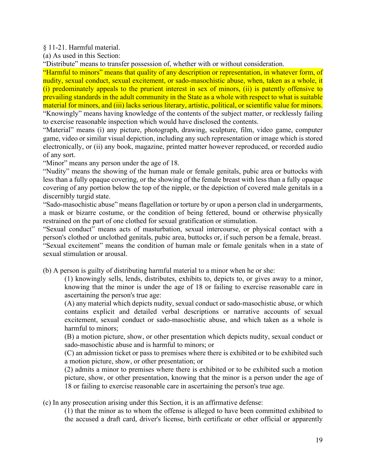§ 11-21. Harmful material.

(a) As used in this Section:

"Distribute" means to transfer possession of, whether with or without consideration.

"Harmful to minors" means that quality of any description or representation, in whatever form, of nudity, sexual conduct, sexual excitement, or sado-masochistic abuse, when, taken as a whole, it (i) predominately appeals to the prurient interest in sex of minors, (ii) is patently offensive to prevailing standards in the adult community in the State as a whole with respect to what is suitable material for minors, and (iii) lacks serious literary, artistic, political, or scientific value for minors. "Knowingly" means having knowledge of the contents of the subject matter, or recklessly failing to exercise reasonable inspection which would have disclosed the contents.

"Material" means (i) any picture, photograph, drawing, sculpture, film, video game, computer game, video or similar visual depiction, including any such representation or image which is stored electronically, or (ii) any book, magazine, printed matter however reproduced, or recorded audio of any sort.

"Minor" means any person under the age of 18.

"Nudity" means the showing of the human male or female genitals, pubic area or buttocks with less than a fully opaque covering, or the showing of the female breast with less than a fully opaque covering of any portion below the top of the nipple, or the depiction of covered male genitals in a discernibly turgid state.

"Sado-masochistic abuse" means flagellation or torture by or upon a person clad in undergarments, a mask or bizarre costume, or the condition of being fettered, bound or otherwise physically restrained on the part of one clothed for sexual gratification or stimulation.

"Sexual conduct" means acts of masturbation, sexual intercourse, or physical contact with a person's clothed or unclothed genitals, pubic area, buttocks or, if such person be a female, breast.

"Sexual excitement" means the condition of human male or female genitals when in a state of sexual stimulation or arousal.

(b) A person is guilty of distributing harmful material to a minor when he or she:

(1) knowingly sells, lends, distributes, exhibits to, depicts to, or gives away to a minor, knowing that the minor is under the age of 18 or failing to exercise reasonable care in ascertaining the person's true age:

(A) any material which depicts nudity, sexual conduct or sado-masochistic abuse, or which contains explicit and detailed verbal descriptions or narrative accounts of sexual excitement, sexual conduct or sado-masochistic abuse, and which taken as a whole is harmful to minors;

(B) a motion picture, show, or other presentation which depicts nudity, sexual conduct or sado-masochistic abuse and is harmful to minors; or

(C) an admission ticket or pass to premises where there is exhibited or to be exhibited such a motion picture, show, or other presentation; or

(2) admits a minor to premises where there is exhibited or to be exhibited such a motion picture, show, or other presentation, knowing that the minor is a person under the age of 18 or failing to exercise reasonable care in ascertaining the person's true age.

(c) In any prosecution arising under this Section, it is an affirmative defense:

(1) that the minor as to whom the offense is alleged to have been committed exhibited to the accused a draft card, driver's license, birth certificate or other official or apparently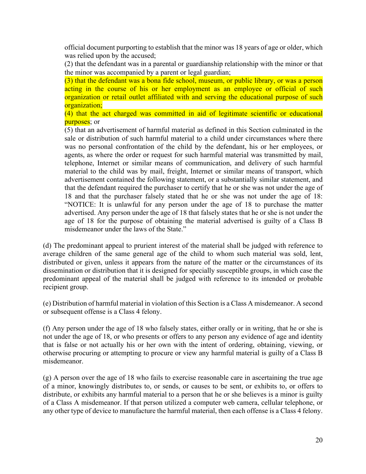official document purporting to establish that the minor was 18 years of age or older, which was relied upon by the accused;

(2) that the defendant was in a parental or guardianship relationship with the minor or that the minor was accompanied by a parent or legal guardian;

(3) that the defendant was a bona fide school, museum, or public library, or was a person acting in the course of his or her employment as an employee or official of such organization or retail outlet affiliated with and serving the educational purpose of such organization;

(4) that the act charged was committed in aid of legitimate scientific or educational purposes; or

(5) that an advertisement of harmful material as defined in this Section culminated in the sale or distribution of such harmful material to a child under circumstances where there was no personal confrontation of the child by the defendant, his or her employees, or agents, as where the order or request for such harmful material was transmitted by mail, telephone, Internet or similar means of communication, and delivery of such harmful material to the child was by mail, freight, Internet or similar means of transport, which advertisement contained the following statement, or a substantially similar statement, and that the defendant required the purchaser to certify that he or she was not under the age of 18 and that the purchaser falsely stated that he or she was not under the age of 18: "NOTICE: It is unlawful for any person under the age of 18 to purchase the matter advertised. Any person under the age of 18 that falsely states that he or she is not under the age of 18 for the purpose of obtaining the material advertised is guilty of a Class B misdemeanor under the laws of the State."

(d) The predominant appeal to prurient interest of the material shall be judged with reference to average children of the same general age of the child to whom such material was sold, lent, distributed or given, unless it appears from the nature of the matter or the circumstances of its dissemination or distribution that it is designed for specially susceptible groups, in which case the predominant appeal of the material shall be judged with reference to its intended or probable recipient group.

(e) Distribution of harmful material in violation of this Section is a Class A misdemeanor. A second or subsequent offense is a Class 4 felony.

(f) Any person under the age of 18 who falsely states, either orally or in writing, that he or she is not under the age of 18, or who presents or offers to any person any evidence of age and identity that is false or not actually his or her own with the intent of ordering, obtaining, viewing, or otherwise procuring or attempting to procure or view any harmful material is guilty of a Class B misdemeanor.

(g) A person over the age of 18 who fails to exercise reasonable care in ascertaining the true age of a minor, knowingly distributes to, or sends, or causes to be sent, or exhibits to, or offers to distribute, or exhibits any harmful material to a person that he or she believes is a minor is guilty of a Class A misdemeanor. If that person utilized a computer web camera, cellular telephone, or any other type of device to manufacture the harmful material, then each offense is a Class 4 felony.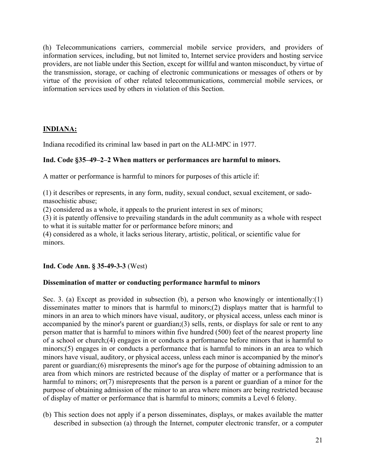(h) Telecommunications carriers, commercial mobile service providers, and providers of information services, including, but not limited to, Internet service providers and hosting service providers, are not liable under this Section, except for willful and wanton misconduct, by virtue of the transmission, storage, or caching of electronic communications or messages of others or by virtue of the provision of other related telecommunications, commercial mobile services, or information services used by others in violation of this Section.

# **INDIANA:**

Indiana recodified its criminal law based in part on the ALI-MPC in 1977.

### **Ind. Code §35–49–2–2 When matters or performances are harmful to minors.**

A matter or performance is harmful to minors for purposes of this article if:

(1) it describes or represents, in any form, nudity, sexual conduct, sexual excitement, or sadomasochistic abuse;

(2) considered as a whole, it appeals to the prurient interest in sex of minors;

(3) it is patently offensive to prevailing standards in the adult community as a whole with respect to what it is suitable matter for or performance before minors; and

(4) considered as a whole, it lacks serious literary, artistic, political, or scientific value for minors.

#### **Ind. Code Ann. § 35-49-3-3** (West)

# **Dissemination of matter or conducting performance harmful to minors**

Sec. 3. (a) Except as provided in subsection (b), a person who knowingly or intentionally: (1) disseminates matter to minors that is harmful to minors;(2) displays matter that is harmful to minors in an area to which minors have visual, auditory, or physical access, unless each minor is accompanied by the minor's parent or guardian;(3) sells, rents, or displays for sale or rent to any person matter that is harmful to minors within five hundred (500) feet of the nearest property line of a school or church;(4) engages in or conducts a performance before minors that is harmful to minors;(5) engages in or conducts a performance that is harmful to minors in an area to which minors have visual, auditory, or physical access, unless each minor is accompanied by the minor's parent or guardian;(6) misrepresents the minor's age for the purpose of obtaining admission to an area from which minors are restricted because of the display of matter or a performance that is harmful to minors; or (7) misrepresents that the person is a parent or guardian of a minor for the purpose of obtaining admission of the minor to an area where minors are being restricted because of display of matter or performance that is harmful to minors; commits a Level 6 felony.

(b) This section does not apply if a person disseminates, displays, or makes available the matter described in subsection (a) through the Internet, computer electronic transfer, or a computer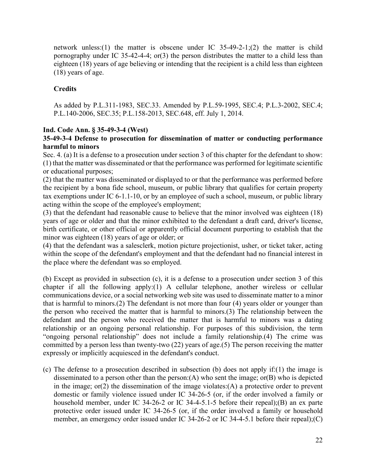network unless:(1) the matter is obscene under IC 35-49-2-1;(2) the matter is child pornography under IC 35-42-4-4; or(3) the person distributes the matter to a child less than eighteen (18) years of age believing or intending that the recipient is a child less than eighteen (18) years of age.

# **Credits**

As added by P.L.311-1983, SEC.33. Amended by P.L.59-1995, SEC.4; P.L.3-2002, SEC.4; P.L.140-2006, SEC.35; P.L.158-2013, SEC.648, eff. July 1, 2014.

# **Ind. Code Ann. § 35-49-3-4 (West)**

# **35-49-3-4 Defense to prosecution for dissemination of matter or conducting performance harmful to minors**

Sec. 4. (a) It is a defense to a prosecution under section 3 of this chapter for the defendant to show: (1) that the matter was disseminated or that the performance was performed for legitimate scientific or educational purposes;

(2) that the matter was disseminated or displayed to or that the performance was performed before the recipient by a bona fide school, museum, or public library that qualifies for certain property tax exemptions under IC 6-1.1-10, or by an employee of such a school, museum, or public library acting within the scope of the employee's employment;

(3) that the defendant had reasonable cause to believe that the minor involved was eighteen (18) years of age or older and that the minor exhibited to the defendant a draft card, driver's license, birth certificate, or other official or apparently official document purporting to establish that the minor was eighteen (18) years of age or older; or

(4) that the defendant was a salesclerk, motion picture projectionist, usher, or ticket taker, acting within the scope of the defendant's employment and that the defendant had no financial interest in the place where the defendant was so employed.

(b) Except as provided in subsection (c), it is a defense to a prosecution under section 3 of this chapter if all the following apply:(1) A cellular telephone, another wireless or cellular communications device, or a social networking web site was used to disseminate matter to a minor that is harmful to minors.(2) The defendant is not more than four (4) years older or younger than the person who received the matter that is harmful to minors.(3) The relationship between the defendant and the person who received the matter that is harmful to minors was a dating relationship or an ongoing personal relationship. For purposes of this subdivision, the term "ongoing personal relationship" does not include a family relationship.(4) The crime was committed by a person less than twenty-two (22) years of age.(5) The person receiving the matter expressly or implicitly acquiesced in the defendant's conduct.

(c) The defense to a prosecution described in subsection (b) does not apply if:(1) the image is disseminated to a person other than the person:(A) who sent the image; or(B) who is depicted in the image; or(2) the dissemination of the image violates:(A) a protective order to prevent domestic or family violence issued under IC 34-26-5 (or, if the order involved a family or household member, under IC 34-26-2 or IC 34-4-5.1-5 before their repeal);(B) an ex parte protective order issued under IC 34-26-5 (or, if the order involved a family or household member, an emergency order issued under IC 34-26-2 or IC 34-4-5.1 before their repeal);(C)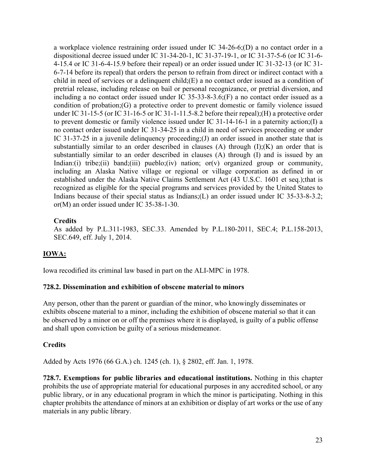a workplace violence restraining order issued under IC 34-26-6;(D) a no contact order in a dispositional decree issued under IC 31-34-20-1, IC 31-37-19-1, or IC 31-37-5-6 (or IC 31-6- 4-15.4 or IC 31-6-4-15.9 before their repeal) or an order issued under IC 31-32-13 (or IC 31- 6-7-14 before its repeal) that orders the person to refrain from direct or indirect contact with a child in need of services or a delinquent child;(E) a no contact order issued as a condition of pretrial release, including release on bail or personal recognizance, or pretrial diversion, and including a no contact order issued under IC 35-33-8-3.6;(F) a no contact order issued as a condition of probation;(G) a protective order to prevent domestic or family violence issued under IC 31-15-5 (or IC 31-16-5 or IC 31-1-11.5-8.2 before their repeal);(H) a protective order to prevent domestic or family violence issued under IC 31-14-16-1 in a paternity action;(I) a no contact order issued under IC 31-34-25 in a child in need of services proceeding or under IC 31-37-25 in a juvenile delinquency proceeding;(J) an order issued in another state that is substantially similar to an order described in clauses  $(A)$  through  $(I):(K)$  an order that is substantially similar to an order described in clauses (A) through (I) and is issued by an Indian:(i) tribe;(ii) band;(iii) pueblo;(iv) nation; or(v) organized group or community, including an Alaska Native village or regional or village corporation as defined in or established under the Alaska Native Claims Settlement Act (43 U.S.C. 1601 et seq.);that is recognized as eligible for the special programs and services provided by the United States to Indians because of their special status as Indians;(L) an order issued under IC 35-33-8-3.2; or(M) an order issued under IC 35-38-1-30.

# **Credits**

As added by P.L.311-1983, SEC.33. Amended by P.L.180-2011, SEC.4; P.L.158-2013, SEC.649, eff. July 1, 2014.

# **IOWA:**

Iowa recodified its criminal law based in part on the ALI-MPC in 1978.

#### **728.2. Dissemination and exhibition of obscene material to minors**

Any person, other than the parent or guardian of the minor, who knowingly disseminates or exhibits obscene material to a minor, including the exhibition of obscene material so that it can be observed by a minor on or off the premises where it is displayed, is guilty of a public offense and shall upon conviction be guilty of a serious misdemeanor.

# **Credits**

Added by Acts 1976 (66 G.A.) ch. 1245 (ch. 1), § 2802, eff. Jan. 1, 1978.

**728.7. Exemptions for public libraries and educational institutions.** Nothing in this chapter prohibits the use of appropriate material for educational purposes in any accredited school, or any public library, or in any educational program in which the minor is participating. Nothing in this chapter prohibits the attendance of minors at an exhibition or display of art works or the use of any materials in any public library.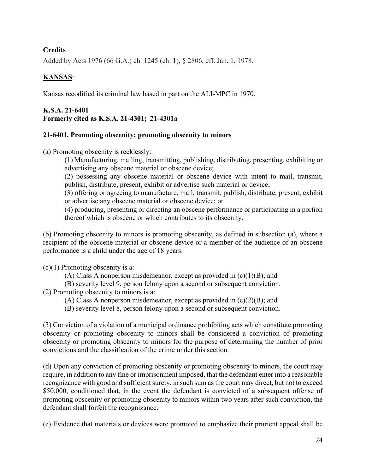# **Credits**

Added by Acts 1976 (66 G.A.) ch. 1245 (ch. 1), § 2806, eff. Jan. 1, 1978.

# **KANSAS**:

Kansas recodified its criminal law based in part on the ALI-MPC in 1970.

# **K.S.A. 21-6401 Formerly cited as K.S.A. 21-4301;  21-4301a**

# **21-6401. Promoting obscenity; promoting obscenity to minors**

(a) Promoting obscenity is recklessly:

(1) Manufacturing, mailing, transmitting, publishing, distributing, presenting, exhibiting or advertising any obscene material or obscene device;

(2) possessing any obscene material or obscene device with intent to mail, transmit, publish, distribute, present, exhibit or advertise such material or device;

(3) offering or agreeing to manufacture, mail, transmit, publish, distribute, present, exhibit or advertise any obscene material or obscene device; or

(4) producing, presenting or directing an obscene performance or participating in a portion thereof which is obscene or which contributes to its obscenity.

(b) Promoting obscenity to minors is promoting obscenity, as defined in subsection (a), where a recipient of the obscene material or obscene device or a member of the audience of an obscene performance is a child under the age of 18 years.

 $(c)(1)$  Promoting obscenity is a:

(A) Class A nonperson misdemeanor, except as provided in  $(c)(1)(B)$ ; and

(B) severity level 9, person felony upon a second or subsequent conviction.

(2) Promoting obscenity to minors is a:

(A) Class A nonperson misdemeanor, except as provided in  $(c)(2)(B)$ ; and

(B) severity level 8, person felony upon a second or subsequent conviction.

(3) Conviction of a violation of a municipal ordinance prohibiting acts which constitute promoting obscenity or promoting obscenity to minors shall be considered a conviction of promoting obscenity or promoting obscenity to minors for the purpose of determining the number of prior convictions and the classification of the crime under this section.

(d) Upon any conviction of promoting obscenity or promoting obscenity to minors, the court may require, in addition to any fine or imprisonment imposed, that the defendant enter into a reasonable recognizance with good and sufficient surety, in such sum as the court may direct, but not to exceed \$50,000, conditioned that, in the event the defendant is convicted of a subsequent offense of promoting obscenity or promoting obscenity to minors within two years after such conviction, the defendant shall forfeit the recognizance.

(e) Evidence that materials or devices were promoted to emphasize their prurient appeal shall be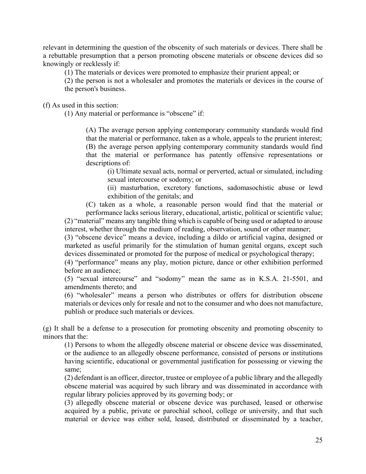relevant in determining the question of the obscenity of such materials or devices. There shall be a rebuttable presumption that a person promoting obscene materials or obscene devices did so knowingly or recklessly if:

(1) The materials or devices were promoted to emphasize their prurient appeal; or

(2) the person is not a wholesaler and promotes the materials or devices in the course of the person's business.

(f) As used in this section:

(1) Any material or performance is "obscene" if:

(A) The average person applying contemporary community standards would find that the material or performance, taken as a whole, appeals to the prurient interest; (B) the average person applying contemporary community standards would find that the material or performance has patently offensive representations or descriptions of:

(i) Ultimate sexual acts, normal or perverted, actual or simulated, including sexual intercourse or sodomy; or

(ii) masturbation, excretory functions, sadomasochistic abuse or lewd exhibition of the genitals; and

(C) taken as a whole, a reasonable person would find that the material or performance lacks serious literary, educational, artistic, political or scientific value; (2) "material" means any tangible thing which is capable of being used or adapted to arouse

interest, whether through the medium of reading, observation, sound or other manner;

(3) "obscene device" means a device, including a dildo or artificial vagina, designed or marketed as useful primarily for the stimulation of human genital organs, except such devices disseminated or promoted for the purpose of medical or psychological therapy;

(4) "performance" means any play, motion picture, dance or other exhibition performed before an audience;

(5) "sexual intercourse" and "sodomy" mean the same as in K.S.A. 21-5501, and amendments thereto; and

(6) "wholesaler" means a person who distributes or offers for distribution obscene materials or devices only for resale and not to the consumer and who does not manufacture, publish or produce such materials or devices.

(g) It shall be a defense to a prosecution for promoting obscenity and promoting obscenity to minors that the:

(1) Persons to whom the allegedly obscene material or obscene device was disseminated, or the audience to an allegedly obscene performance, consisted of persons or institutions having scientific, educational or governmental justification for possessing or viewing the same;

(2) defendant is an officer, director, trustee or employee of a public library and the allegedly obscene material was acquired by such library and was disseminated in accordance with regular library policies approved by its governing body; or

(3) allegedly obscene material or obscene device was purchased, leased or otherwise acquired by a public, private or parochial school, college or university, and that such material or device was either sold, leased, distributed or disseminated by a teacher,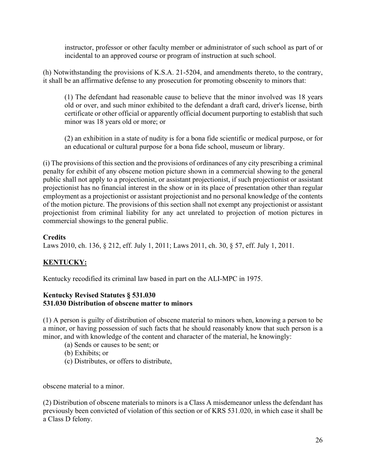instructor, professor or other faculty member or administrator of such school as part of or incidental to an approved course or program of instruction at such school.

(h) Notwithstanding the provisions of K.S.A. 21-5204, and amendments thereto, to the contrary, it shall be an affirmative defense to any prosecution for promoting obscenity to minors that:

(1) The defendant had reasonable cause to believe that the minor involved was 18 years old or over, and such minor exhibited to the defendant a draft card, driver's license, birth certificate or other official or apparently official document purporting to establish that such minor was 18 years old or more; or

(2) an exhibition in a state of nudity is for a bona fide scientific or medical purpose, or for an educational or cultural purpose for a bona fide school, museum or library.

(i) The provisions of this section and the provisions of ordinances of any city prescribing a criminal penalty for exhibit of any obscene motion picture shown in a commercial showing to the general public shall not apply to a projectionist, or assistant projectionist, if such projectionist or assistant projectionist has no financial interest in the show or in its place of presentation other than regular employment as a projectionist or assistant projectionist and no personal knowledge of the contents of the motion picture. The provisions of this section shall not exempt any projectionist or assistant projectionist from criminal liability for any act unrelated to projection of motion pictures in commercial showings to the general public.

#### **Credits**

Laws 2010, ch. 136, § 212, eff. July 1, 2011; Laws 2011, ch. 30, § 57, eff. July 1, 2011.

# **KENTUCKY:**

Kentucky recodified its criminal law based in part on the ALI-MPC in 1975.

#### **Kentucky Revised Statutes § 531.030 531.030 Distribution of obscene matter to minors**

(1) A person is guilty of distribution of obscene material to minors when, knowing a person to be a minor, or having possession of such facts that he should reasonably know that such person is a minor, and with knowledge of the content and character of the material, he knowingly:

- (a) Sends or causes to be sent; or
- (b) Exhibits; or
- (c) Distributes, or offers to distribute,

obscene material to a minor.

(2) Distribution of obscene materials to minors is a Class A misdemeanor unless the defendant has previously been convicted of violation of this section or of KRS 531.020, in which case it shall be a Class D felony.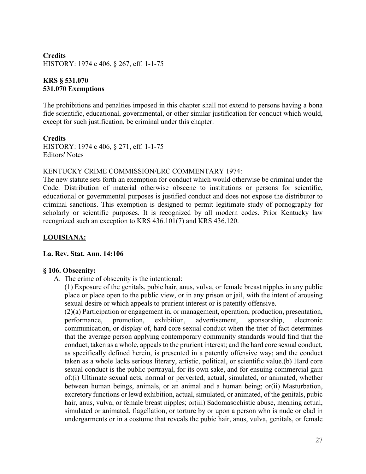# **Credits** HISTORY: 1974 c 406, § 267, eff. 1-1-75

# **KRS § 531.070 531.070 Exemptions**

The prohibitions and penalties imposed in this chapter shall not extend to persons having a bona fide scientific, educational, governmental, or other similar justification for conduct which would, except for such justification, be criminal under this chapter.

# **Credits**

HISTORY: 1974 c 406, § 271, eff. 1-1-75 Editors' Notes

### KENTUCKY CRIME COMMISSION/LRC COMMENTARY 1974:

The new statute sets forth an exemption for conduct which would otherwise be criminal under the Code. Distribution of material otherwise obscene to institutions or persons for scientific, educational or governmental purposes is justified conduct and does not expose the distributor to criminal sanctions. This exemption is designed to permit legitimate study of pornography for scholarly or scientific purposes. It is recognized by all modern codes. Prior Kentucky law recognized such an exception to KRS 436.101(7) and KRS 436.120.

# **LOUISIANA:**

# **La. Rev. Stat. Ann. 14:106**

#### **§ 106. Obscenity:**

A. The crime of obscenity is the intentional:

(1) Exposure of the genitals, pubic hair, anus, vulva, or female breast nipples in any public place or place open to the public view, or in any prison or jail, with the intent of arousing sexual desire or which appeals to prurient interest or is patently offensive.

(2)(a) Participation or engagement in, or management, operation, production, presentation, performance, promotion, exhibition, advertisement, sponsorship, electronic communication, or display of, hard core sexual conduct when the trier of fact determines that the average person applying contemporary community standards would find that the conduct, taken as a whole, appeals to the prurient interest; and the hard core sexual conduct, as specifically defined herein, is presented in a patently offensive way; and the conduct taken as a whole lacks serious literary, artistic, political, or scientific value.(b) Hard core sexual conduct is the public portrayal, for its own sake, and for ensuing commercial gain of:(i) Ultimate sexual acts, normal or perverted, actual, simulated, or animated, whether between human beings, animals, or an animal and a human being; or(ii) Masturbation, excretory functions or lewd exhibition, actual, simulated, or animated, of the genitals, pubic hair, anus, vulva, or female breast nipples; or(iii) Sadomasochistic abuse, meaning actual, simulated or animated, flagellation, or torture by or upon a person who is nude or clad in undergarments or in a costume that reveals the pubic hair, anus, vulva, genitals, or female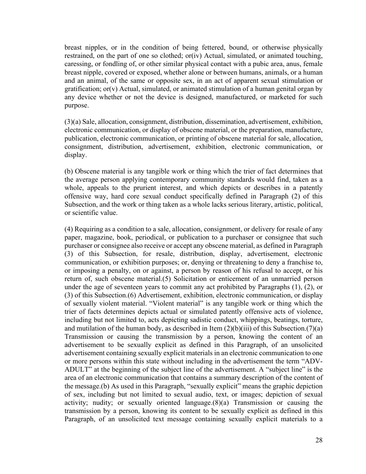breast nipples, or in the condition of being fettered, bound, or otherwise physically restrained, on the part of one so clothed; or(iv) Actual, simulated, or animated touching, caressing, or fondling of, or other similar physical contact with a pubic area, anus, female breast nipple, covered or exposed, whether alone or between humans, animals, or a human and an animal, of the same or opposite sex, in an act of apparent sexual stimulation or gratification; or(v) Actual, simulated, or animated stimulation of a human genital organ by any device whether or not the device is designed, manufactured, or marketed for such purpose.

(3)(a) Sale, allocation, consignment, distribution, dissemination, advertisement, exhibition, electronic communication, or display of obscene material, or the preparation, manufacture, publication, electronic communication, or printing of obscene material for sale, allocation, consignment, distribution, advertisement, exhibition, electronic communication, or display.

(b) Obscene material is any tangible work or thing which the trier of fact determines that the average person applying contemporary community standards would find, taken as a whole, appeals to the prurient interest, and which depicts or describes in a patently offensive way, hard core sexual conduct specifically defined in Paragraph (2) of this Subsection, and the work or thing taken as a whole lacks serious literary, artistic, political, or scientific value.

(4) Requiring as a condition to a sale, allocation, consignment, or delivery for resale of any paper, magazine, book, periodical, or publication to a purchaser or consignee that such purchaser or consignee also receive or accept any obscene material, as defined in Paragraph (3) of this Subsection, for resale, distribution, display, advertisement, electronic communication, or exhibition purposes; or, denying or threatening to deny a franchise to, or imposing a penalty, on or against, a person by reason of his refusal to accept, or his return of, such obscene material.(5) Solicitation or enticement of an unmarried person under the age of seventeen years to commit any act prohibited by Paragraphs (1), (2), or (3) of this Subsection.(6) Advertisement, exhibition, electronic communication, or display of sexually violent material. "Violent material" is any tangible work or thing which the trier of facts determines depicts actual or simulated patently offensive acts of violence, including but not limited to, acts depicting sadistic conduct, whippings, beatings, torture, and mutilation of the human body, as described in Item  $(2)(b)(iii)$  of this Subsection.(7)(a) Transmission or causing the transmission by a person, knowing the content of an advertisement to be sexually explicit as defined in this Paragraph, of an unsolicited advertisement containing sexually explicit materials in an electronic communication to one or more persons within this state without including in the advertisement the term "ADV-ADULT" at the beginning of the subject line of the advertisement. A "subject line" is the area of an electronic communication that contains a summary description of the content of the message.(b) As used in this Paragraph, "sexually explicit" means the graphic depiction of sex, including but not limited to sexual audio, text, or images; depiction of sexual activity; nudity; or sexually oriented language.(8)(a) Transmission or causing the transmission by a person, knowing its content to be sexually explicit as defined in this Paragraph, of an unsolicited text message containing sexually explicit materials to a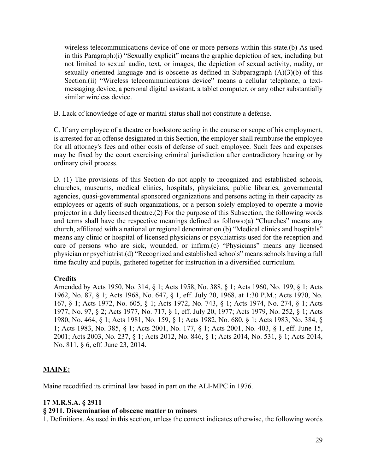wireless telecommunications device of one or more persons within this state.(b) As used in this Paragraph:(i) "Sexually explicit" means the graphic depiction of sex, including but not limited to sexual audio, text, or images, the depiction of sexual activity, nudity, or sexually oriented language and is obscene as defined in Subparagraph (A)(3)(b) of this Section.(ii) "Wireless telecommunications device" means a cellular telephone, a textmessaging device, a personal digital assistant, a tablet computer, or any other substantially similar wireless device.

B. Lack of knowledge of age or marital status shall not constitute a defense.

C. If any employee of a theatre or bookstore acting in the course or scope of his employment, is arrested for an offense designated in this Section, the employer shall reimburse the employee for all attorney's fees and other costs of defense of such employee. Such fees and expenses may be fixed by the court exercising criminal jurisdiction after contradictory hearing or by ordinary civil process.

D. (1) The provisions of this Section do not apply to recognized and established schools, churches, museums, medical clinics, hospitals, physicians, public libraries, governmental agencies, quasi-governmental sponsored organizations and persons acting in their capacity as employees or agents of such organizations, or a person solely employed to operate a movie projector in a duly licensed theatre.(2) For the purpose of this Subsection, the following words and terms shall have the respective meanings defined as follows:(a) "Churches" means any church, affiliated with a national or regional denomination.(b) "Medical clinics and hospitals" means any clinic or hospital of licensed physicians or psychiatrists used for the reception and care of persons who are sick, wounded, or infirm.(c) "Physicians" means any licensed physician or psychiatrist.(d) "Recognized and established schools" means schools having a full time faculty and pupils, gathered together for instruction in a diversified curriculum.

# **Credits**

Amended by Acts 1950, No. 314, § 1; Acts 1958, No. 388, § 1; Acts 1960, No. 199, § 1; Acts 1962, No. 87, § 1; Acts 1968, No. 647, § 1, eff. July 20, 1968, at 1:30 P.M.; Acts 1970, No. 167, § 1; Acts 1972, No. 605, § 1; Acts 1972, No. 743, § 1; Acts 1974, No. 274, § 1; Acts 1977, No. 97, § 2; Acts 1977, No. 717, § 1, eff. July 20, 1977; Acts 1979, No. 252, § 1; Acts 1980, No. 464, § 1; Acts 1981, No. 159, § 1; Acts 1982, No. 680, § 1; Acts 1983, No. 384, § 1; Acts 1983, No. 385, § 1; Acts 2001, No. 177, § 1; Acts 2001, No. 403, § 1, eff. June 15, 2001; Acts 2003, No. 237, § 1; Acts 2012, No. 846, § 1; Acts 2014, No. 531, § 1; Acts 2014, No. 811, § 6, eff. June 23, 2014.

# **MAINE:**

Maine recodified its criminal law based in part on the ALI-MPC in 1976.

# **17 M.R.S.A. § 2911**

#### **§ 2911. Dissemination of obscene matter to minors**

1. Definitions. As used in this section, unless the context indicates otherwise, the following words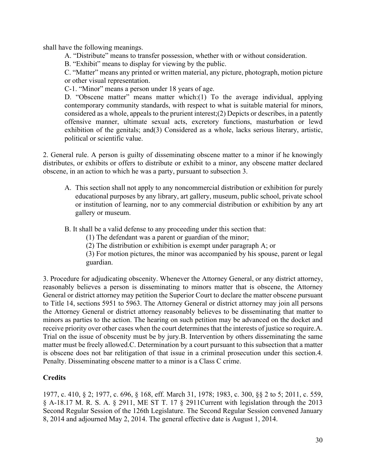shall have the following meanings.

A. "Distribute" means to transfer possession, whether with or without consideration.

B. "Exhibit" means to display for viewing by the public.

C. "Matter" means any printed or written material, any picture, photograph, motion picture or other visual representation.

C-1. "Minor" means a person under 18 years of age.

D. "Obscene matter" means matter which:(1) To the average individual, applying contemporary community standards, with respect to what is suitable material for minors, considered as a whole, appeals to the prurient interest;(2) Depicts or describes, in a patently offensive manner, ultimate sexual acts, excretory functions, masturbation or lewd exhibition of the genitals; and(3) Considered as a whole, lacks serious literary, artistic, political or scientific value.

2. General rule. A person is guilty of disseminating obscene matter to a minor if he knowingly distributes, or exhibits or offers to distribute or exhibit to a minor, any obscene matter declared obscene, in an action to which he was a party, pursuant to subsection 3.

A. This section shall not apply to any noncommercial distribution or exhibition for purely educational purposes by any library, art gallery, museum, public school, private school or institution of learning, nor to any commercial distribution or exhibition by any art gallery or museum.

B. It shall be a valid defense to any proceeding under this section that:

- (1) The defendant was a parent or guardian of the minor;
- (2) The distribution or exhibition is exempt under paragraph A; or

(3) For motion pictures, the minor was accompanied by his spouse, parent or legal guardian.

3. Procedure for adjudicating obscenity. Whenever the Attorney General, or any district attorney, reasonably believes a person is disseminating to minors matter that is obscene, the Attorney General or district attorney may petition the Superior Court to declare the matter obscene pursuant to Title 14, sections 5951 to 5963. The Attorney General or district attorney may join all persons the Attorney General or district attorney reasonably believes to be disseminating that matter to minors as parties to the action. The hearing on such petition may be advanced on the docket and receive priority over other cases when the court determines that the interests of justice so require.A. Trial on the issue of obscenity must be by jury.B. Intervention by others disseminating the same matter must be freely allowed.C. Determination by a court pursuant to this subsection that a matter is obscene does not bar relitigation of that issue in a criminal prosecution under this section.4. Penalty. Disseminating obscene matter to a minor is a Class C crime.

# **Credits**

1977, c. 410, § 2; 1977, c. 696, § 168, eff. March 31, 1978; 1983, c. 300, §§ 2 to 5; 2011, c. 559, § A-18.17 M. R. S. A. § 2911, ME ST T. 17 § 2911Current with legislation through the 2013 Second Regular Session of the 126th Legislature. The Second Regular Session convened January 8, 2014 and adjourned May 2, 2014. The general effective date is August 1, 2014.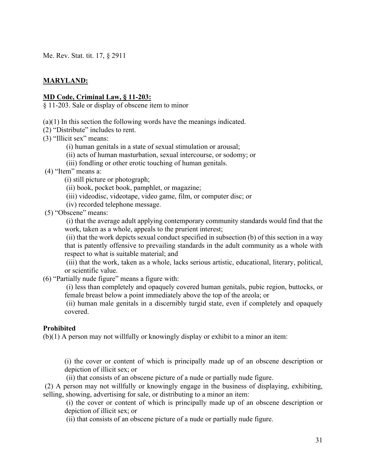Me. Rev. Stat. tit. 17, § 2911

# **MARYLAND:**

#### **MD Code, Criminal Law, § 11-203:**

§ 11-203. Sale or display of obscene item to minor

(a)(1) In this section the following words have the meanings indicated.

(2) "Distribute" includes to rent.

(3) "Illicit sex" means:

- (i) human genitals in a state of sexual stimulation or arousal;
- (ii) acts of human masturbation, sexual intercourse, or sodomy; or
- (iii) fondling or other erotic touching of human genitals.
- (4) "Item" means a:
	- (i) still picture or photograph;
	- (ii) book, pocket book, pamphlet, or magazine;
	- (iii) videodisc, videotape, video game, film, or computer disc; or
	- (iv) recorded telephone message.

(5) "Obscene" means:

(i) that the average adult applying contemporary community standards would find that the work, taken as a whole, appeals to the prurient interest;

(ii) that the work depicts sexual conduct specified in subsection (b) of this section in a way that is patently offensive to prevailing standards in the adult community as a whole with respect to what is suitable material; and

(iii) that the work, taken as a whole, lacks serious artistic, educational, literary, political, or scientific value.

(6) "Partially nude figure" means a figure with:

(i) less than completely and opaquely covered human genitals, pubic region, buttocks, or female breast below a point immediately above the top of the areola; or

(ii) human male genitals in a discernibly turgid state, even if completely and opaquely covered.

#### **Prohibited**

(b)(1) A person may not willfully or knowingly display or exhibit to a minor an item:

(i) the cover or content of which is principally made up of an obscene description or depiction of illicit sex; or

(ii) that consists of an obscene picture of a nude or partially nude figure.

(2) A person may not willfully or knowingly engage in the business of displaying, exhibiting, selling, showing, advertising for sale, or distributing to a minor an item:

(i) the cover or content of which is principally made up of an obscene description or depiction of illicit sex; or

(ii) that consists of an obscene picture of a nude or partially nude figure.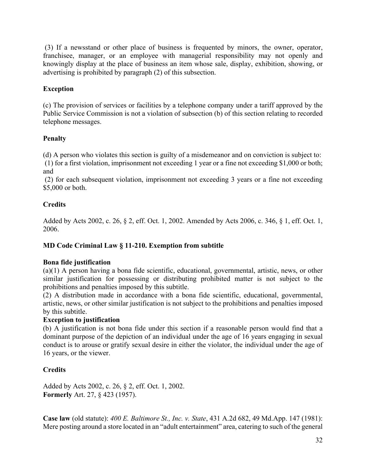(3) If a newsstand or other place of business is frequented by minors, the owner, operator, franchisee, manager, or an employee with managerial responsibility may not openly and knowingly display at the place of business an item whose sale, display, exhibition, showing, or advertising is prohibited by paragraph (2) of this subsection.

# **Exception**

(c) The provision of services or facilities by a telephone company under a tariff approved by the Public Service Commission is not a violation of subsection (b) of this section relating to recorded telephone messages.

# **Penalty**

(d) A person who violates this section is guilty of a misdemeanor and on conviction is subject to:

(1) for a first violation, imprisonment not exceeding 1 year or a fine not exceeding \$1,000 or both; and

(2) for each subsequent violation, imprisonment not exceeding 3 years or a fine not exceeding \$5,000 or both.

# **Credits**

Added by Acts 2002, c. 26, § 2, eff. Oct. 1, 2002. Amended by Acts 2006, c. 346, § 1, eff. Oct. 1, 2006.

# **MD Code Criminal Law § 11-210. Exemption from subtitle**

# **Bona fide justification**

(a)(1) A person having a bona fide scientific, educational, governmental, artistic, news, or other similar justification for possessing or distributing prohibited matter is not subject to the prohibitions and penalties imposed by this subtitle.

(2) A distribution made in accordance with a bona fide scientific, educational, governmental, artistic, news, or other similar justification is not subject to the prohibitions and penalties imposed by this subtitle.

# **Exception to justification**

(b) A justification is not bona fide under this section if a reasonable person would find that a dominant purpose of the depiction of an individual under the age of 16 years engaging in sexual conduct is to arouse or gratify sexual desire in either the violator, the individual under the age of 16 years, or the viewer.

# **Credits**

Added by Acts 2002, c. 26, § 2, eff. Oct. 1, 2002. **Formerly** Art. 27, § 423 (1957).

**Case law** (old statute): *400 E. Baltimore St., Inc. v. State*, 431 A.2d 682, 49 Md.App. 147 (1981): Mere posting around a store located in an "adult entertainment" area, catering to such of the general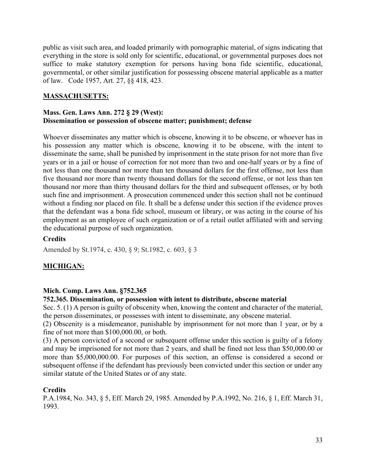public as visit such area, and loaded primarily with pornographic material, of signs indicating that everything in the store is sold only for scientific, educational, or governmental purposes does not suffice to make statutory exemption for persons having bona fide scientific, educational, governmental, or other similar justification for possessing obscene material applicable as a matter of law. Code 1957, Art. 27, §§ 418, 423.

# **MASSACHUSETTS:**

### **Mass. Gen. Laws Ann. 272 § 29 (West): Dissemination or possession of obscene matter; punishment; defense**

Whoever disseminates any matter which is obscene, knowing it to be obscene, or whoever has in his possession any matter which is obscene, knowing it to be obscene, with the intent to disseminate the same, shall be punished by imprisonment in the state prison for not more than five years or in a jail or house of correction for not more than two and one-half years or by a fine of not less than one thousand nor more than ten thousand dollars for the first offense, not less than five thousand nor more than twenty thousand dollars for the second offense, or not less than ten thousand nor more than thirty thousand dollars for the third and subsequent offenses, or by both such fine and imprisonment. A prosecution commenced under this section shall not be continued without a finding nor placed on file. It shall be a defense under this section if the evidence proves that the defendant was a bona fide school, museum or library, or was acting in the course of his employment as an employee of such organization or of a retail outlet affiliated with and serving the educational purpose of such organization.

### **Credits**

Amended by St.1974, c. 430, § 9; St.1982, c. 603, § 3

# **MICHIGAN:**

# **Mich. Comp. Laws Ann. §752.365**

#### **752.365. Dissemination, or possession with intent to distribute, obscene material**

Sec. 5. (1) A person is guilty of obscenity when, knowing the content and character of the material, the person disseminates, or possesses with intent to disseminate, any obscene material.

(2) Obscenity is a misdemeanor, punishable by imprisonment for not more than 1 year, or by a fine of not more than \$100,000.00, or both.

(3) A person convicted of a second or subsequent offense under this section is guilty of a felony and may be imprisoned for not more than 2 years, and shall be fined not less than \$50,000.00 or more than \$5,000,000.00. For purposes of this section, an offense is considered a second or subsequent offense if the defendant has previously been convicted under this section or under any similar statute of the United States or of any state.

# **Credits**

P.A.1984, No. 343, § 5, Eff. March 29, 1985. Amended by P.A.1992, No. 216, § 1, Eff. March 31, 1993.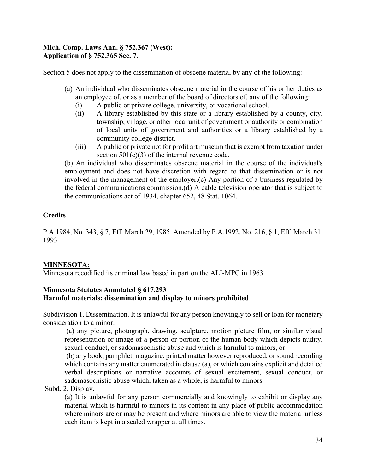# **Mich. Comp. Laws Ann. § 752.367 (West): Application of § 752.365 Sec. 7.**

Section 5 does not apply to the dissemination of obscene material by any of the following:

- (a) An individual who disseminates obscene material in the course of his or her duties as an employee of, or as a member of the board of directors of, any of the following:
	- (i) A public or private college, university, or vocational school.
	- (ii) A library established by this state or a library established by a county, city, township, village, or other local unit of government or authority or combination of local units of government and authorities or a library established by a community college district.
	- (iii) A public or private not for profit art museum that is exempt from taxation under section  $501(c)(3)$  of the internal revenue code.

(b) An individual who disseminates obscene material in the course of the individual's employment and does not have discretion with regard to that dissemination or is not involved in the management of the employer.(c) Any portion of a business regulated by the federal communications commission.(d) A cable television operator that is subject to the communications act of 1934, chapter 652, 48 Stat. 1064.

# **Credits**

P.A.1984, No. 343, § 7, Eff. March 29, 1985. Amended by [P.A.1992, No. 216, § 1, Eff. March 31,](https://a.next.westlaw.com/Link/Document/FullText?findType=l&pubNum=1077005&cite=UUID(I5902FBB8AD-98470FAEB2A-F03702FFE68)&originatingDoc=N3DA7821033A511DB939AD224E78C99B1&refType=SL&originationContext=document&transitionType=DocumentItem&contextData=(sc.Document))  [1993](https://a.next.westlaw.com/Link/Document/FullText?findType=l&pubNum=1077005&cite=UUID(I5902FBB8AD-98470FAEB2A-F03702FFE68)&originatingDoc=N3DA7821033A511DB939AD224E78C99B1&refType=SL&originationContext=document&transitionType=DocumentItem&contextData=(sc.Document))

# **MINNESOTA:**

Minnesota recodified its criminal law based in part on the ALI-MPC in 1963.

# **Minnesota Statutes Annotated § 617.293 Harmful materials; dissemination and display to minors prohibited**

Subdivision 1. Dissemination. It is unlawful for any person knowingly to sell or loan for monetary consideration to a minor:

(a) any picture, photograph, drawing, sculpture, motion picture film, or similar visual representation or image of a person or portion of the human body which depicts nudity, sexual conduct, or sadomasochistic abuse and which is harmful to minors, or

(b) any book, pamphlet, magazine, printed matter however reproduced, or sound recording which contains any matter enumerated in clause (a), or which contains explicit and detailed verbal descriptions or narrative accounts of sexual excitement, sexual conduct, or sadomasochistic abuse which, taken as a whole, is harmful to minors.

# Subd. 2. Display.

(a) It is unlawful for any person commercially and knowingly to exhibit or display any material which is harmful to minors in its content in any place of public accommodation where minors are or may be present and where minors are able to view the material unless each item is kept in a sealed wrapper at all times.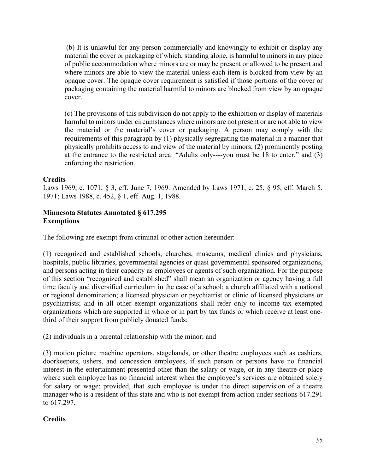(b) It is unlawful for any person commercially and knowingly to exhibit or display any material the cover or packaging of which, standing alone, is harmful to minors in any place of public accommodation where minors are or may be present or allowed to be present and where minors are able to view the material unless each item is blocked from view by an opaque cover. The opaque cover requirement is satisfied if those portions of the cover or packaging containing the material harmful to minors are blocked from view by an opaque cover.

(c) The provisions of this subdivision do not apply to the exhibition or display of materials harmful to minors under circumstances where minors are not present or are not able to view the material or the material's cover or packaging. A person may comply with the requirements of this paragraph by (1) physically segregating the material in a manner that physically prohibits access to and view of the material by minors, (2) prominently posting at the entrance to the restricted area: "Adults only----you must be 18 to enter," and (3) enforcing the restriction.

# **Credits**

Laws 1969, c. 1071, § 3, eff. June 7, 1969. Amended by Laws 1971, c. 25, § 95, eff. March 5, 1971; Laws 1988, c. 452, § 1, eff. Aug. 1, 1988.

#### **Minnesota Statutes Annotated § 617.295 Exemptions**

The following are exempt from criminal or other action hereunder:

(1) recognized and established schools, churches, museums, medical clinics and physicians, hospitals, public libraries, governmental agencies or quasi governmental sponsored organizations, and persons acting in their capacity as employees or agents of such organization. For the purpose of this section "recognized and established" shall mean an organization or agency having a full time faculty and diversified curriculum in the case of a school; a church affiliated with a national or regional denomination; a licensed physician or psychiatrist or clinic of licensed physicians or psychiatrists; and in all other exempt organizations shall refer only to income tax exempted organizations which are supported in whole or in part by tax funds or which receive at least onethird of their support from publicly donated funds;

(2) individuals in a parental relationship with the minor; and

(3) motion picture machine operators, stagehands, or other theatre employees such as cashiers, doorkeepers, ushers, and concession employees, if such person or persons have no financial interest in the entertainment presented other than the salary or wage, or in any theatre or place where such employee has no financial interest when the employee's services are obtained solely for salary or wage; provided, that such employee is under the direct supervision of a theatre manager who is a resident of this state and who is not exempt from action under sections 617.291 to 617.297.

# **Credits**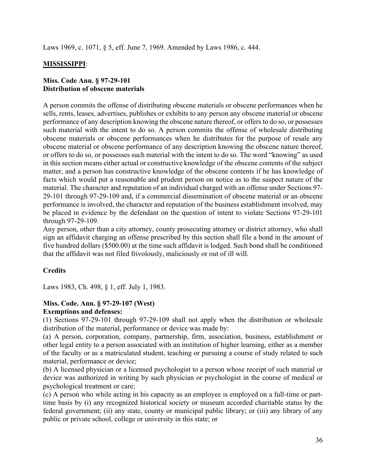Laws 1969, c. 1071, § 5, eff. June 7, 1969. Amended by Laws 1986, c. 444.

# **MISSISSIPPI**:

### **Miss. Code Ann. § 97-29-101 Distribution of obscene materials**

A person commits the offense of distributing obscene materials or obscene performances when he sells, rents, leases, advertises, publishes or exhibits to any person any obscene material or obscene performance of any description knowing the obscene nature thereof, or offers to do so, or possesses such material with the intent to do so. A person commits the offense of wholesale distributing obscene materials or obscene performances when he distributes for the purpose of resale any obscene material or obscene performance of any description knowing the obscene nature thereof, or offers to do so, or possesses such material with the intent to do so. The word "knowing" as used in this section means either actual or constructive knowledge of the obscene contents of the subject matter, and a person has constructive knowledge of the obscene contents if he has knowledge of facts which would put a reasonable and prudent person on notice as to the suspect nature of the material. The character and reputation of an individual charged with an offense under Sections 97- 29-101 through 97-29-109 and, if a commercial dissemination of obscene material or an obscene performance is involved, the character and reputation of the business establishment involved, may be placed in evidence by the defendant on the question of intent to violate Sections 97-29-101 through 97-29-109.

Any person, other than a city attorney, county prosecuting attorney or district attorney, who shall sign an affidavit charging an offense prescribed by this section shall file a bond in the amount of five hundred dollars (\$500.00) at the time such affidavit is lodged. Such bond shall be conditioned that the affidavit was not filed frivolously, maliciously or out of ill will.

# **Credits**

Laws 1983, Ch. 498, § 1, eff. July 1, 1983.

#### **Miss. Code. Ann. § 97-29-107 (West) Exemptions and defenses:**

(1) Sections 97-29-101 through 97-29-109 shall not apply when the distribution or wholesale distribution of the material, performance or device was made by:

(a) A person, corporation, company, partnership, firm, association, business, establishment or other legal entity to a person associated with an institution of higher learning, either as a member of the faculty or as a matriculated student, teaching or pursuing a course of study related to such material, performance or device;

(b) A licensed physician or a licensed psychologist to a person whose receipt of such material or device was authorized in writing by such physician or psychologist in the course of medical or psychological treatment or care;

(c) A person who while acting in his capacity as an employee is employed on a full-time or parttime basis by (i) any recognized historical society or museum accorded charitable status by the federal government; (ii) any state, county or municipal public library; or (iii) any library of any public or private school, college or university in this state; or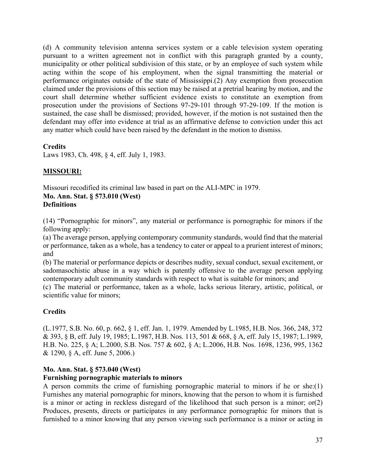(d) A community television antenna services system or a cable television system operating pursuant to a written agreement not in conflict with this paragraph granted by a county, municipality or other political subdivision of this state, or by an employee of such system while acting within the scope of his employment, when the signal transmitting the material or performance originates outside of the state of Mississippi.(2) Any exemption from prosecution claimed under the provisions of this section may be raised at a pretrial hearing by motion, and the court shall determine whether sufficient evidence exists to constitute an exemption from prosecution under the provisions of Sections 97-29-101 through 97-29-109. If the motion is sustained, the case shall be dismissed; provided, however, if the motion is not sustained then the defendant may offer into evidence at trial as an affirmative defense to conviction under this act any matter which could have been raised by the defendant in the motion to dismiss.

# **Credits**

Laws 1983, Ch. 498, § 4, eff. July 1, 1983.

# **MISSOURI:**

Missouri recodified its criminal law based in part on the ALI-MPC in 1979. **Mo. Ann. Stat. § 573.010 (West) Definitions**

(14) "Pornographic for minors", any material or performance is pornographic for minors if the following apply:

(a) The average person, applying contemporary community standards, would find that the material or performance, taken as a whole, has a tendency to cater or appeal to a prurient interest of minors; and

(b) The material or performance depicts or describes nudity, sexual conduct, sexual excitement, or sadomasochistic abuse in a way which is patently offensive to the average person applying contemporary adult community standards with respect to what is suitable for minors; and

(c) The material or performance, taken as a whole, lacks serious literary, artistic, political, or scientific value for minors;

# **Credits**

(L.1977, S.B. No. 60, p. 662, § 1, eff. Jan. 1, 1979. Amended by L.1985, H.B. Nos. 366, 248, 372 & 393, § B, eff. July 19, 1985; L.1987, H.B. Nos. 113, 501 & 668, § A, eff. July 15, 1987; L.1989, H.B. No. 225, § A; L.2000, S.B. Nos. 757 & 602, § A; L.2006, H.B. Nos. 1698, 1236, 995, 1362 & 1290, § A, eff. June 5, 2006.)

# **Mo. Ann. Stat. § 573.040 (West)**

# **Furnishing pornographic materials to minors**

A person commits the crime of furnishing pornographic material to minors if he or she:(1) Furnishes any material pornographic for minors, knowing that the person to whom it is furnished is a minor or acting in reckless disregard of the likelihood that such person is a minor; or(2) Produces, presents, directs or participates in any performance pornographic for minors that is furnished to a minor knowing that any person viewing such performance is a minor or acting in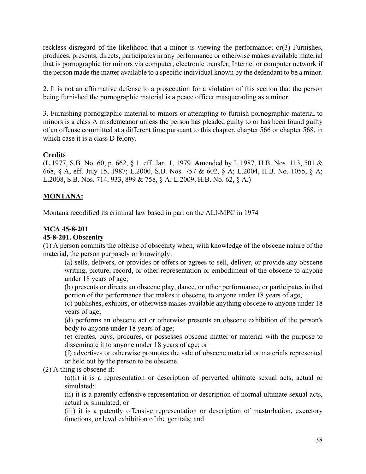reckless disregard of the likelihood that a minor is viewing the performance; or(3) Furnishes, produces, presents, directs, participates in any performance or otherwise makes available material that is pornographic for minors via computer, electronic transfer, Internet or computer network if the person made the matter available to a specific individual known by the defendant to be a minor.

2. It is not an affirmative defense to a prosecution for a violation of this section that the person being furnished the pornographic material is a peace officer masquerading as a minor.

3. Furnishing pornographic material to minors or attempting to furnish pornographic material to minors is a class A misdemeanor unless the person has pleaded guilty to or has been found guilty of an offense committed at a different time pursuant to this chapter, chapter 566 or chapter 568, in which case it is a class D felony.

# **Credits**

(L.1977, S.B. No. 60, p. 662, § 1, eff. Jan. 1, 1979. Amended by L.1987, H.B. Nos. 113, 501 & 668, § A, eff. July 15, 1987; L.2000, S.B. Nos. 757 & 602, § A; L.2004, H.B. No. 1055, § A; L.2008, S.B. Nos. 714, 933, 899 & 758, § A; L.2009, H.B. No. 62, § A.)

# **MONTANA:**

Montana recodified its criminal law based in part on the ALI-MPC in 1974

### **MCA 45-8-201**

#### **45-8-201. Obscenity**

(1) A person commits the offense of obscenity when, with knowledge of the obscene nature of the material, the person purposely or knowingly:

(a) sells, delivers, or provides or offers or agrees to sell, deliver, or provide any obscene writing, picture, record, or other representation or embodiment of the obscene to anyone under 18 years of age;

(b) presents or directs an obscene play, dance, or other performance, or participates in that portion of the performance that makes it obscene, to anyone under 18 years of age;

(c) publishes, exhibits, or otherwise makes available anything obscene to anyone under 18 years of age;

(d) performs an obscene act or otherwise presents an obscene exhibition of the person's body to anyone under 18 years of age;

(e) creates, buys, procures, or possesses obscene matter or material with the purpose to disseminate it to anyone under 18 years of age; or

(f) advertises or otherwise promotes the sale of obscene material or materials represented or held out by the person to be obscene.

(2) A thing is obscene if:

(a)(i) it is a representation or description of perverted ultimate sexual acts, actual or simulated;

(ii) it is a patently offensive representation or description of normal ultimate sexual acts, actual or simulated; or

(iii) it is a patently offensive representation or description of masturbation, excretory functions, or lewd exhibition of the genitals; and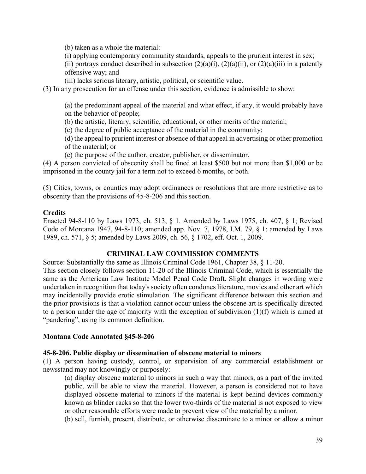(b) taken as a whole the material:

(i) applying contemporary community standards, appeals to the prurient interest in sex;

(ii) portrays conduct described in subsection  $(2)(a)(i)$ ,  $(2)(a)(ii)$ , or  $(2)(a)(iii)$  in a patently offensive way; and

(iii) lacks serious literary, artistic, political, or scientific value.

(3) In any prosecution for an offense under this section, evidence is admissible to show:

(a) the predominant appeal of the material and what effect, if any, it would probably have on the behavior of people;

(b) the artistic, literary, scientific, educational, or other merits of the material;

(c) the degree of public acceptance of the material in the community;

(d) the appeal to prurient interest or absence of that appeal in advertising or other promotion of the material; or

(e) the purpose of the author, creator, publisher, or disseminator.

(4) A person convicted of obscenity shall be fined at least \$500 but not more than \$1,000 or be imprisoned in the county jail for a term not to exceed 6 months, or both.

(5) Cities, towns, or counties may adopt ordinances or resolutions that are more restrictive as to obscenity than the provisions of 45-8-206 and this section.

#### **Credits**

Enacted 94-8-110 by Laws 1973, ch. 513, § 1. Amended by Laws 1975, ch. 407, § 1; Revised Code of Montana 1947, 94-8-110; amended app. Nov. 7, 1978, I.M. 79, § 1; amended by Laws 1989, ch. 571, § 5; amended by Laws 2009, ch. 56, § 1702, eff. Oct. 1, 2009.

#### **CRIMINAL LAW COMMISSION COMMENTS**

Source: Substantially the same as Illinois Criminal Code 1961, Chapter 38, § 11-20.

This section closely follows section 11-20 of the Illinois Criminal Code, which is essentially the same as the American Law Institute Model Penal Code Draft. Slight changes in wording were undertaken in recognition that today's society often condones literature, movies and other art which may incidentally provide erotic stimulation. The significant difference between this section and the prior provisions is that a violation cannot occur unless the obscene art is specifically directed to a person under the age of majority with the exception of subdivision (1)(f) which is aimed at "pandering", using its common definition.

#### **Montana Code Annotated §45-8-206**

#### **45-8-206. Public display or dissemination of obscene material to minors**

(1) A person having custody, control, or supervision of any commercial establishment or newsstand may not knowingly or purposely:

(a) display obscene material to minors in such a way that minors, as a part of the invited public, will be able to view the material. However, a person is considered not to have displayed obscene material to minors if the material is kept behind devices commonly known as blinder racks so that the lower two-thirds of the material is not exposed to view or other reasonable efforts were made to prevent view of the material by a minor.

(b) sell, furnish, present, distribute, or otherwise disseminate to a minor or allow a minor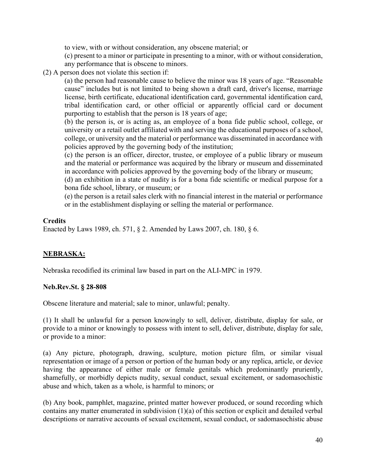to view, with or without consideration, any obscene material; or

(c) present to a minor or participate in presenting to a minor, with or without consideration, any performance that is obscene to minors.

(2) A person does not violate this section if:

(a) the person had reasonable cause to believe the minor was 18 years of age. "Reasonable cause" includes but is not limited to being shown a draft card, driver's license, marriage license, birth certificate, educational identification card, governmental identification card, tribal identification card, or other official or apparently official card or document purporting to establish that the person is 18 years of age;

(b) the person is, or is acting as, an employee of a bona fide public school, college, or university or a retail outlet affiliated with and serving the educational purposes of a school, college, or university and the material or performance was disseminated in accordance with policies approved by the governing body of the institution;

(c) the person is an officer, director, trustee, or employee of a public library or museum and the material or performance was acquired by the library or museum and disseminated in accordance with policies approved by the governing body of the library or museum;

(d) an exhibition in a state of nudity is for a bona fide scientific or medical purpose for a bona fide school, library, or museum; or

(e) the person is a retail sales clerk with no financial interest in the material or performance or in the establishment displaying or selling the material or performance.

# **Credits**

Enacted by Laws 1989, ch. 571, § 2. Amended by Laws 2007, ch. 180, § 6.

# **NEBRASKA:**

Nebraska recodified its criminal law based in part on the ALI-MPC in 1979.

#### **Neb.Rev.St. § 28-808**

Obscene literature and material; sale to minor, unlawful; penalty.

(1) It shall be unlawful for a person knowingly to sell, deliver, distribute, display for sale, or provide to a minor or knowingly to possess with intent to sell, deliver, distribute, display for sale, or provide to a minor:

(a) Any picture, photograph, drawing, sculpture, motion picture film, or similar visual representation or image of a person or portion of the human body or any replica, article, or device having the appearance of either male or female genitals which predominantly pruriently, shamefully, or morbidly depicts nudity, sexual conduct, sexual excitement, or sadomasochistic abuse and which, taken as a whole, is harmful to minors; or

(b) Any book, pamphlet, magazine, printed matter however produced, or sound recording which contains any matter enumerated in subdivision (1)(a) of this section or explicit and detailed verbal descriptions or narrative accounts of sexual excitement, sexual conduct, or sadomasochistic abuse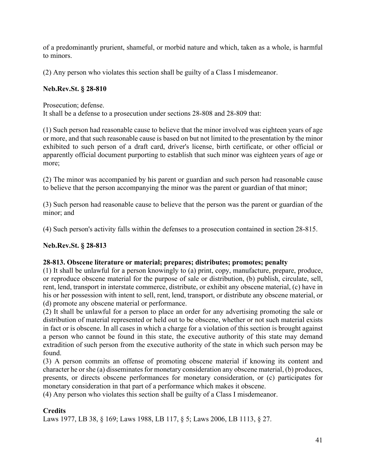of a predominantly prurient, shameful, or morbid nature and which, taken as a whole, is harmful to minors.

(2) Any person who violates this section shall be guilty of a Class I misdemeanor.

# **Neb.Rev.St. § 28-810**

Prosecution; defense.

It shall be a defense to a prosecution under sections 28-808 and 28-809 that:

(1) Such person had reasonable cause to believe that the minor involved was eighteen years of age or more, and that such reasonable cause is based on but not limited to the presentation by the minor exhibited to such person of a draft card, driver's license, birth certificate, or other official or apparently official document purporting to establish that such minor was eighteen years of age or more;

(2) The minor was accompanied by his parent or guardian and such person had reasonable cause to believe that the person accompanying the minor was the parent or guardian of that minor;

(3) Such person had reasonable cause to believe that the person was the parent or guardian of the minor; and

(4) Such person's activity falls within the defenses to a prosecution contained in section 28-815.

# **Neb.Rev.St. § 28-813**

# **28-813. Obscene literature or material; prepares; distributes; promotes; penalty**

(1) It shall be unlawful for a person knowingly to (a) print, copy, manufacture, prepare, produce, or reproduce obscene material for the purpose of sale or distribution, (b) publish, circulate, sell, rent, lend, transport in interstate commerce, distribute, or exhibit any obscene material, (c) have in his or her possession with intent to sell, rent, lend, transport, or distribute any obscene material, or (d) promote any obscene material or performance.

(2) It shall be unlawful for a person to place an order for any advertising promoting the sale or distribution of material represented or held out to be obscene, whether or not such material exists in fact or is obscene. In all cases in which a charge for a violation of this section is brought against a person who cannot be found in this state, the executive authority of this state may demand extradition of such person from the executive authority of the state in which such person may be found.

(3) A person commits an offense of promoting obscene material if knowing its content and character he or she (a) disseminates for monetary consideration any obscene material, (b) produces, presents, or directs obscene performances for monetary consideration, or (c) participates for monetary consideration in that part of a performance which makes it obscene.

(4) Any person who violates this section shall be guilty of a Class I misdemeanor.

# **Credits**

Laws 1977, LB 38, § 169; Laws 1988, LB 117, § 5; Laws 2006, LB 1113, § 27.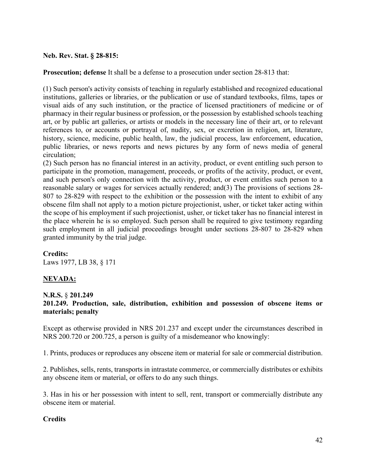#### **Neb. Rev. Stat. § 28-815:**

**Prosecution; defense** It shall be a defense to a prosecution under section 28-813 that:

(1) Such person's activity consists of teaching in regularly established and recognized educational institutions, galleries or libraries, or the publication or use of standard textbooks, films, tapes or visual aids of any such institution, or the practice of licensed practitioners of medicine or of pharmacy in their regular business or profession, or the possession by established schools teaching art, or by public art galleries, or artists or models in the necessary line of their art, or to relevant references to, or accounts or portrayal of, nudity, sex, or excretion in religion, art, literature, history, science, medicine, public health, law, the judicial process, law enforcement, education, public libraries, or news reports and news pictures by any form of news media of general circulation;

(2) Such person has no financial interest in an activity, product, or event entitling such person to participate in the promotion, management, proceeds, or profits of the activity, product, or event, and such person's only connection with the activity, product, or event entitles such person to a reasonable salary or wages for services actually rendered; and(3) The provisions of sections 28- 807 to 28-829 with respect to the exhibition or the possession with the intent to exhibit of any obscene film shall not apply to a motion picture projectionist, usher, or ticket taker acting within the scope of his employment if such projectionist, usher, or ticket taker has no financial interest in the place wherein he is so employed. Such person shall be required to give testimony regarding such employment in all judicial proceedings brought under sections 28-807 to 28-829 when granted immunity by the trial judge.

#### **Credits:**

Laws 1977, LB 38, § 171

#### **NEVADA:**

#### **N.R.S.** § **201.249**

### **201.249. Production, sale, distribution, exhibition and possession of obscene items or materials; penalty**

Except as otherwise provided in NRS 201.237 and except under the circumstances described in NRS 200.720 or 200.725, a person is guilty of a misdemeanor who knowingly:

1. Prints, produces or reproduces any obscene item or material for sale or commercial distribution.

2. Publishes, sells, rents, transports in intrastate commerce, or commercially distributes or exhibits any obscene item or material, or offers to do any such things.

3. Has in his or her possession with intent to sell, rent, transport or commercially distribute any obscene item or material.

#### **Credits**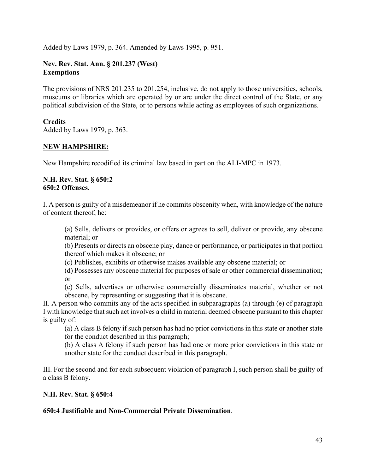Added by Laws 1979, p. 364. Amended by Laws 1995, p. 951.

### **Nev. Rev. Stat. Ann. § 201.237 (West) Exemptions**

The provisions of NRS 201.235 to 201.254, inclusive, do not apply to those universities, schools, museums or libraries which are operated by or are under the direct control of the State, or any political subdivision of the State, or to persons while acting as employees of such organizations.

#### **Credits**

Added by Laws 1979, p. 363.

### **NEW HAMPSHIRE:**

New Hampshire recodified its criminal law based in part on the ALI-MPC in 1973.

#### **N.H. Rev. Stat. § 650:2 650:2 Offenses.**

I. A person is guilty of a misdemeanor if he commits obscenity when, with knowledge of the nature of content thereof, he:

(a) Sells, delivers or provides, or offers or agrees to sell, deliver or provide, any obscene material; or

(b) Presents or directs an obscene play, dance or performance, or participates in that portion thereof which makes it obscene; or

(c) Publishes, exhibits or otherwise makes available any obscene material; or

(d) Possesses any obscene material for purposes of sale or other commercial dissemination; or

(e) Sells, advertises or otherwise commercially disseminates material, whether or not obscene, by representing or suggesting that it is obscene.

II. A person who commits any of the acts specified in subparagraphs (a) through (e) of paragraph I with knowledge that such act involves a child in material deemed obscene pursuant to this chapter is guilty of:

(a) A class B felony if such person has had no prior convictions in this state or another state for the conduct described in this paragraph;

(b) A class A felony if such person has had one or more prior convictions in this state or another state for the conduct described in this paragraph.

III. For the second and for each subsequent violation of paragraph I, such person shall be guilty of a class B felony.

#### **N.H. Rev. Stat. § 650:4**

# **650:4 Justifiable and Non-Commercial Private Dissemination**.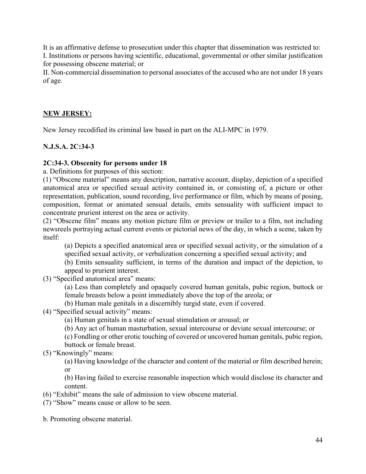It is an affirmative defense to prosecution under this chapter that dissemination was restricted to: I. Institutions or persons having scientific, educational, governmental or other similar justification for possessing obscene material; or

II. Non-commercial dissemination to personal associates of the accused who are not under 18 years of age.

# **NEW JERSEY:**

New Jersey recodified its criminal law based in part on the ALI-MPC in 1979.

# **N.J.S.A. 2C:34-3**

#### **2C:34-3. Obscenity for persons under 18**

a. Definitions for purposes of this section:

(1) "Obscene material" means any description, narrative account, display, depiction of a specified anatomical area or specified sexual activity contained in, or consisting of, a picture or other representation, publication, sound recording, live performance or film, which by means of posing, composition, format or animated sensual details, emits sensuality with sufficient impact to concentrate prurient interest on the area or activity.

(2) "Obscene film" means any motion picture film or preview or trailer to a film, not including newsreels portraying actual current events or pictorial news of the day, in which a scene, taken by itself:

(a) Depicts a specified anatomical area or specified sexual activity, or the simulation of a specified sexual activity, or verbalization concerning a specified sexual activity; and

(b) Emits sensuality sufficient, in terms of the duration and impact of the depiction, to appeal to prurient interest.

(3) "Specified anatomical area" means:

(a) Less than completely and opaquely covered human genitals, pubic region, buttock or female breasts below a point immediately above the top of the areola; or

(b) Human male genitals in a discernibly turgid state, even if covered.

- (4) "Specified sexual activity" means:
	- (a) Human genitals in a state of sexual stimulation or arousal; or

(b) Any act of human masturbation, sexual intercourse or deviate sexual intercourse; or

(c) Fondling or other erotic touching of covered or uncovered human genitals, pubic region, buttock or female breast.

(5) "Knowingly" means:

(a) Having knowledge of the character and content of the material or film described herein; or

(b) Having failed to exercise reasonable inspection which would disclose its character and content.

- (6) "Exhibit" means the sale of admission to view obscene material.
- (7) "Show" means cause or allow to be seen.

b. Promoting obscene material.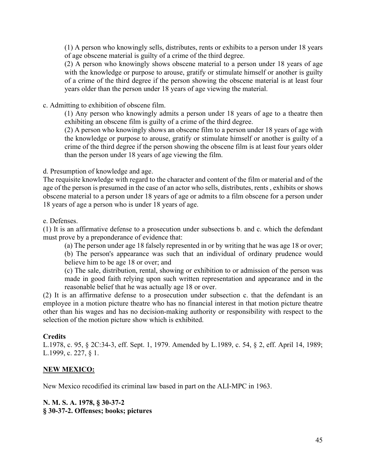(1) A person who knowingly sells, distributes, rents or exhibits to a person under 18 years of age obscene material is guilty of a crime of the third degree.

(2) A person who knowingly shows obscene material to a person under 18 years of age with the knowledge or purpose to arouse, gratify or stimulate himself or another is guilty of a crime of the third degree if the person showing the obscene material is at least four years older than the person under 18 years of age viewing the material.

c. Admitting to exhibition of obscene film.

(1) Any person who knowingly admits a person under 18 years of age to a theatre then exhibiting an obscene film is guilty of a crime of the third degree.

(2) A person who knowingly shows an obscene film to a person under 18 years of age with the knowledge or purpose to arouse, gratify or stimulate himself or another is guilty of a crime of the third degree if the person showing the obscene film is at least four years older than the person under 18 years of age viewing the film.

d. Presumption of knowledge and age.

The requisite knowledge with regard to the character and content of the film or material and of the age of the person is presumed in the case of an actor who sells, distributes, rents , exhibits or shows obscene material to a person under 18 years of age or admits to a film obscene for a person under 18 years of age a person who is under 18 years of age.

e. Defenses.

(1) It is an affirmative defense to a prosecution under subsections b. and c. which the defendant must prove by a preponderance of evidence that:

(a) The person under age 18 falsely represented in or by writing that he was age 18 or over;

(b) The person's appearance was such that an individual of ordinary prudence would believe him to be age 18 or over; and

(c) The sale, distribution, rental, showing or exhibition to or admission of the person was made in good faith relying upon such written representation and appearance and in the reasonable belief that he was actually age 18 or over.

(2) It is an affirmative defense to a prosecution under subsection c. that the defendant is an employee in a motion picture theatre who has no financial interest in that motion picture theatre other than his wages and has no decision-making authority or responsibility with respect to the selection of the motion picture show which is exhibited.

#### **Credits**

L.1978, c. 95, § 2C:34-3, eff. Sept. 1, 1979. Amended by L.1989, c. 54, § 2, eff. April 14, 1989; L.1999, c. 227, § 1.

# **NEW MEXICO:**

New Mexico recodified its criminal law based in part on the ALI-MPC in 1963.

#### **N. M. S. A. 1978, § 30-37-2 § 30-37-2. Offenses; books; pictures**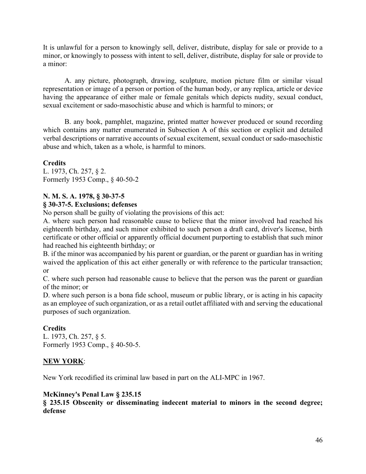It is unlawful for a person to knowingly sell, deliver, distribute, display for sale or provide to a minor, or knowingly to possess with intent to sell, deliver, distribute, display for sale or provide to a minor:

A. any picture, photograph, drawing, sculpture, motion picture film or similar visual representation or image of a person or portion of the human body, or any replica, article or device having the appearance of either male or female genitals which depicts nudity, sexual conduct, sexual excitement or sado-masochistic abuse and which is harmful to minors; or

B. any book, pamphlet, magazine, printed matter however produced or sound recording which contains any matter enumerated in Subsection A of this section or explicit and detailed verbal descriptions or narrative accounts of sexual excitement, sexual conduct or sado-masochistic abuse and which, taken as a whole, is harmful to minors.

# **Credits**

L. 1973, Ch. 257, § 2. Formerly 1953 Comp., § 40-50-2

# **N. M. S. A. 1978, § 30-37-5**

# **§ 30-37-5. Exclusions; defenses**

No person shall be guilty of violating the provisions of this act:

A. where such person had reasonable cause to believe that the minor involved had reached his eighteenth birthday, and such minor exhibited to such person a draft card, driver's license, birth certificate or other official or apparently official document purporting to establish that such minor had reached his eighteenth birthday; or

B. if the minor was accompanied by his parent or guardian, or the parent or guardian has in writing waived the application of this act either generally or with reference to the particular transaction; or

C. where such person had reasonable cause to believe that the person was the parent or guardian of the minor; or

D. where such person is a bona fide school, museum or public library, or is acting in his capacity as an employee of such organization, or as a retail outlet affiliated with and serving the educational purposes of such organization.

# **Credits**

L. 1973, Ch. 257, § 5. Formerly 1953 Comp., § 40-50-5.

# **NEW YORK**:

New York recodified its criminal law based in part on the ALI-MPC in 1967.

# **McKinney's Penal Law § 235.15**

**§ 235.15 Obscenity or disseminating indecent material to minors in the second degree; defense**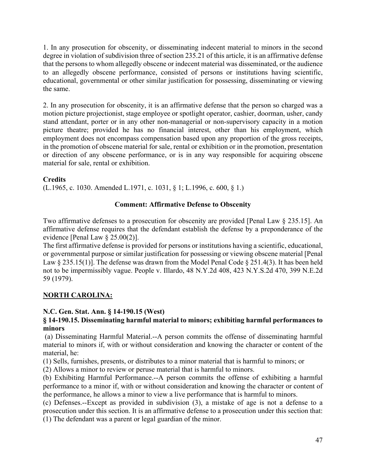1. In any prosecution for obscenity, or disseminating indecent material to minors in the second degree in violation of subdivision three of section 235.21 of this article, it is an affirmative defense that the persons to whom allegedly obscene or indecent material was disseminated, or the audience to an allegedly obscene performance, consisted of persons or institutions having scientific, educational, governmental or other similar justification for possessing, disseminating or viewing the same.

2. In any prosecution for obscenity, it is an affirmative defense that the person so charged was a motion picture projectionist, stage employee or spotlight operator, cashier, doorman, usher, candy stand attendant, porter or in any other non-managerial or non-supervisory capacity in a motion picture theatre; provided he has no financial interest, other than his employment, which employment does not encompass compensation based upon any proportion of the gross receipts, in the promotion of obscene material for sale, rental or exhibition or in the promotion, presentation or direction of any obscene performance, or is in any way responsible for acquiring obscene material for sale, rental or exhibition.

# **Credits**

(L.1965, c. 1030. Amended L.1971, c. 1031, § 1; L.1996, c. 600, § 1.)

# **Comment: Affirmative Defense to Obscenity**

Two affirmative defenses to a prosecution for obscenity are provided [Penal Law § 235.15]. An affirmative defense requires that the defendant establish the defense by a preponderance of the evidence [Penal Law § 25.00(2)].

The first affirmative defense is provided for persons or institutions having a scientific, educational, or governmental purpose or similar justification for possessing or viewing obscene material [Penal Law § 235.15(1)]. The defense was drawn from the Model Penal Code § 251.4(3). It has been held not to be impermissibly vague. People v. Illardo, 48 N.Y.2d 408, 423 N.Y.S.2d 470, 399 N.E.2d 59 (1979).

# **NORTH CAROLINA:**

# **N.C. Gen. Stat. Ann. § 14-190.15 (West)**

# **§ 14-190.15. Disseminating harmful material to minors; exhibiting harmful performances to minors**

(a) Disseminating Harmful Material.--A person commits the offense of disseminating harmful material to minors if, with or without consideration and knowing the character or content of the material, he:

(1) Sells, furnishes, presents, or distributes to a minor material that is harmful to minors; or

(2) Allows a minor to review or peruse material that is harmful to minors.

(b) Exhibiting Harmful Performance.--A person commits the offense of exhibiting a harmful performance to a minor if, with or without consideration and knowing the character or content of the performance, he allows a minor to view a live performance that is harmful to minors.

(c) Defenses.--Except as provided in subdivision (3), a mistake of age is not a defense to a prosecution under this section. It is an affirmative defense to a prosecution under this section that: (1) The defendant was a parent or legal guardian of the minor.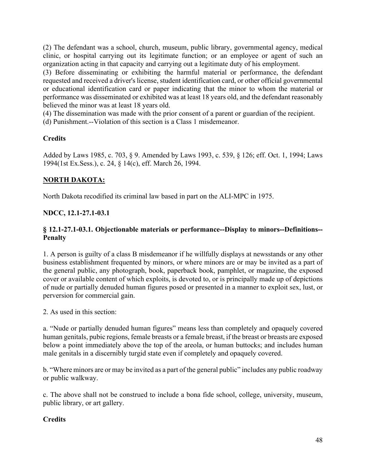(2) The defendant was a school, church, museum, public library, governmental agency, medical clinic, or hospital carrying out its legitimate function; or an employee or agent of such an organization acting in that capacity and carrying out a legitimate duty of his employment.

(3) Before disseminating or exhibiting the harmful material or performance, the defendant requested and received a driver's license, student identification card, or other official governmental or educational identification card or paper indicating that the minor to whom the material or performance was disseminated or exhibited was at least 18 years old, and the defendant reasonably believed the minor was at least 18 years old.

(4) The dissemination was made with the prior consent of a parent or guardian of the recipient.

(d) Punishment.--Violation of this section is a Class 1 misdemeanor.

# **Credits**

Added by Laws 1985, c. 703, § 9. Amended by Laws 1993, c. 539, § 126; eff. Oct. 1, 1994; Laws 1994(1st Ex.Sess.), c. 24, § 14(c), eff. March 26, 1994.

# **NORTH DAKOTA:**

North Dakota recodified its criminal law based in part on the ALI-MPC in 1975.

# **NDCC, 12.1-27.1-03.1**

# **§ 12.1-27.1-03.1. Objectionable materials or performance--Display to minors--Definitions-- Penalty**

1. A person is guilty of a class B misdemeanor if he willfully displays at newsstands or any other business establishment frequented by minors, or where minors are or may be invited as a part of the general public, any photograph, book, paperback book, pamphlet, or magazine, the exposed cover or available content of which exploits, is devoted to, or is principally made up of depictions of nude or partially denuded human figures posed or presented in a manner to exploit sex, lust, or perversion for commercial gain.

2. As used in this section:

a. "Nude or partially denuded human figures" means less than completely and opaquely covered human genitals, pubic regions, female breasts or a female breast, if the breast or breasts are exposed below a point immediately above the top of the areola, or human buttocks; and includes human male genitals in a discernibly turgid state even if completely and opaquely covered.

b. "Where minors are or may be invited as a part of the general public" includes any public roadway or public walkway.

c. The above shall not be construed to include a bona fide school, college, university, museum, public library, or art gallery.

# **Credits**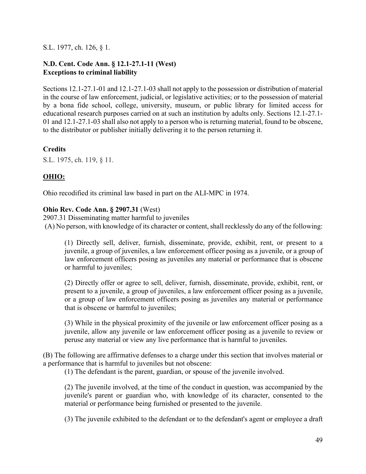S.L. 1977, ch. 126, § 1.

# **N.D. Cent. Code Ann. § 12.1-27.1-11 (West) Exceptions to criminal liability**

Sections 12.1-27.1-01 and 12.1-27.1-03 shall not apply to the possession or distribution of material in the course of law enforcement, judicial, or legislative activities; or to the possession of material by a bona fide school, college, university, museum, or public library for limited access for educational research purposes carried on at such an institution by adults only. Sections 12.1-27.1- 01 and 12.1-27.1-03 shall also not apply to a person who is returning material, found to be obscene, to the distributor or publisher initially delivering it to the person returning it.

# **Credits**

S.L. 1975, ch. 119, § 11.

# **OHIO:**

Ohio recodified its criminal law based in part on the ALI-MPC in 1974.

# **Ohio Rev. Code Ann. § 2907.31** (West)

2907.31 Disseminating matter harmful to juveniles (A) No person, with knowledge of its character or content, shall recklessly do any of the following:

(1) Directly sell, deliver, furnish, disseminate, provide, exhibit, rent, or present to a juvenile, a group of juveniles, a law enforcement officer posing as a juvenile, or a group of law enforcement officers posing as juveniles any material or performance that is obscene or harmful to juveniles;

(2) Directly offer or agree to sell, deliver, furnish, disseminate, provide, exhibit, rent, or present to a juvenile, a group of juveniles, a law enforcement officer posing as a juvenile, or a group of law enforcement officers posing as juveniles any material or performance that is obscene or harmful to juveniles;

(3) While in the physical proximity of the juvenile or law enforcement officer posing as a juvenile, allow any juvenile or law enforcement officer posing as a juvenile to review or peruse any material or view any live performance that is harmful to juveniles.

(B) The following are affirmative defenses to a charge under this section that involves material or a performance that is harmful to juveniles but not obscene:

(1) The defendant is the parent, guardian, or spouse of the juvenile involved.

(2) The juvenile involved, at the time of the conduct in question, was accompanied by the juvenile's parent or guardian who, with knowledge of its character, consented to the material or performance being furnished or presented to the juvenile.

(3) The juvenile exhibited to the defendant or to the defendant's agent or employee a draft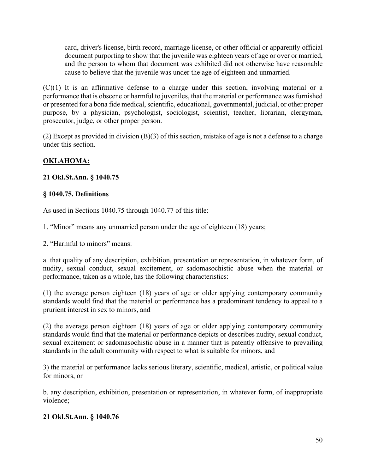card, driver's license, birth record, marriage license, or other official or apparently official document purporting to show that the juvenile was eighteen years of age or over or married, and the person to whom that document was exhibited did not otherwise have reasonable cause to believe that the juvenile was under the age of eighteen and unmarried.

(C)(1) It is an affirmative defense to a charge under this section, involving material or a performance that is obscene or harmful to juveniles, that the material or performance was furnished or presented for a bona fide medical, scientific, educational, governmental, judicial, or other proper purpose, by a physician, psychologist, sociologist, scientist, teacher, librarian, clergyman, prosecutor, judge, or other proper person.

(2) Except as provided in division (B)(3) of this section, mistake of age is not a defense to a charge under this section.

# **OKLAHOMA:**

# **21 Okl.St.Ann. § 1040.75**

# **§ 1040.75. Definitions**

As used in Sections 1040.75 through 1040.77 of this title:

1. "Minor" means any unmarried person under the age of eighteen (18) years;

2. "Harmful to minors" means:

a. that quality of any description, exhibition, presentation or representation, in whatever form, of nudity, sexual conduct, sexual excitement, or sadomasochistic abuse when the material or performance, taken as a whole, has the following characteristics:

(1) the average person eighteen (18) years of age or older applying contemporary community standards would find that the material or performance has a predominant tendency to appeal to a prurient interest in sex to minors, and

(2) the average person eighteen (18) years of age or older applying contemporary community standards would find that the material or performance depicts or describes nudity, sexual conduct, sexual excitement or sadomasochistic abuse in a manner that is patently offensive to prevailing standards in the adult community with respect to what is suitable for minors, and

3) the material or performance lacks serious literary, scientific, medical, artistic, or political value for minors, or

b. any description, exhibition, presentation or representation, in whatever form, of inappropriate violence;

# **21 Okl.St.Ann. § 1040.76**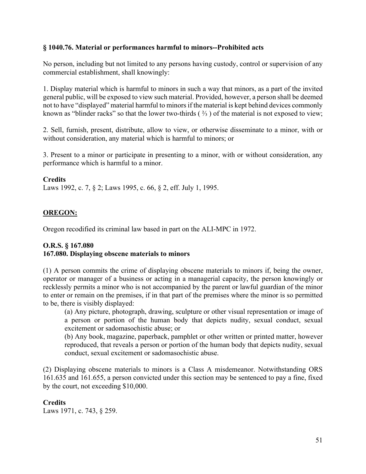### **§ 1040.76. Material or performances harmful to minors--Prohibited acts**

No person, including but not limited to any persons having custody, control or supervision of any commercial establishment, shall knowingly:

1. Display material which is harmful to minors in such a way that minors, as a part of the invited general public, will be exposed to view such material. Provided, however, a person shall be deemed not to have "displayed" material harmful to minors if the material is kept behind devices commonly known as "blinder racks" so that the lower two-thirds  $(2/3)$  of the material is not exposed to view;

2. Sell, furnish, present, distribute, allow to view, or otherwise disseminate to a minor, with or without consideration, any material which is harmful to minors; or

3. Present to a minor or participate in presenting to a minor, with or without consideration, any performance which is harmful to a minor.

#### **Credits**

Laws 1992, c. 7, § 2; Laws 1995, c. 66, § 2, eff. July 1, 1995.

#### **OREGON:**

Oregon recodified its criminal law based in part on the ALI-MPC in 1972.

### **O.R.S. § 167.080 167.080. Displaying obscene materials to minors**

(1) A person commits the crime of displaying obscene materials to minors if, being the owner, operator or manager of a business or acting in a managerial capacity, the person knowingly or recklessly permits a minor who is not accompanied by the parent or lawful guardian of the minor to enter or remain on the premises, if in that part of the premises where the minor is so permitted to be, there is visibly displayed:

(a) Any picture, photograph, drawing, sculpture or other visual representation or image of a person or portion of the human body that depicts nudity, sexual conduct, sexual excitement or sadomasochistic abuse; or

(b) Any book, magazine, paperback, pamphlet or other written or printed matter, however reproduced, that reveals a person or portion of the human body that depicts nudity, sexual conduct, sexual excitement or sadomasochistic abuse.

(2) Displaying obscene materials to minors is a Class A misdemeanor. Notwithstanding ORS 161.635 and 161.655, a person convicted under this section may be sentenced to pay a fine, fixed by the court, not exceeding \$10,000.

**Credits** Laws 1971, c. 743, § 259.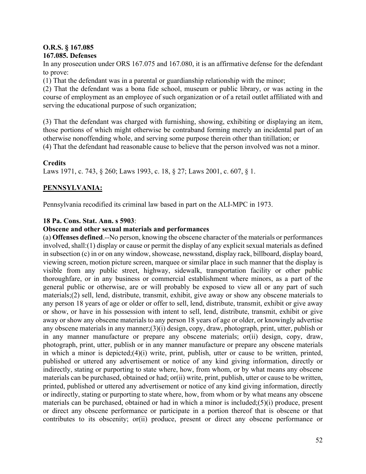### **O.R.S. § 167.085 167.085. Defenses**

In any prosecution under ORS 167.075 and 167.080, it is an affirmative defense for the defendant to prove:

(1) That the defendant was in a parental or guardianship relationship with the minor;

(2) That the defendant was a bona fide school, museum or public library, or was acting in the course of employment as an employee of such organization or of a retail outlet affiliated with and serving the educational purpose of such organization;

(3) That the defendant was charged with furnishing, showing, exhibiting or displaying an item, those portions of which might otherwise be contraband forming merely an incidental part of an otherwise nonoffending whole, and serving some purpose therein other than titillation; or (4) That the defendant had reasonable cause to believe that the person involved was not a minor.

# **Credits**

Laws 1971, c. 743, § 260; Laws 1993, c. 18, § 27; Laws 2001, c. 607, § 1.

# **PENNSYLVANIA:**

Pennsylvania recodified its criminal law based in part on the ALI-MPC in 1973.

### **18 Pa. Cons. Stat. Ann. s 5903**:

### **Obscene and other sexual materials and performances**

(a) **Offenses defined**.--No person, knowing the obscene character of the materials or performances involved, shall:(1) display or cause or permit the display of any explicit sexual materials as defined in subsection (c) in or on any window, showcase, newsstand, display rack, billboard, display board, viewing screen, motion picture screen, marquee or similar place in such manner that the display is visible from any public street, highway, sidewalk, transportation facility or other public thoroughfare, or in any business or commercial establishment where minors, as a part of the general public or otherwise, are or will probably be exposed to view all or any part of such materials;(2) sell, lend, distribute, transmit, exhibit, give away or show any obscene materials to any person 18 years of age or older or offer to sell, lend, distribute, transmit, exhibit or give away or show, or have in his possession with intent to sell, lend, distribute, transmit, exhibit or give away or show any obscene materials to any person 18 years of age or older, or knowingly advertise any obscene materials in any manner;(3)(i) design, copy, draw, photograph, print, utter, publish or in any manner manufacture or prepare any obscene materials; or(ii) design, copy, draw, photograph, print, utter, publish or in any manner manufacture or prepare any obscene materials in which a minor is depicted;(4)(i) write, print, publish, utter or cause to be written, printed, published or uttered any advertisement or notice of any kind giving information, directly or indirectly, stating or purporting to state where, how, from whom, or by what means any obscene materials can be purchased, obtained or had; or(ii) write, print, publish, utter or cause to be written, printed, published or uttered any advertisement or notice of any kind giving information, directly or indirectly, stating or purporting to state where, how, from whom or by what means any obscene materials can be purchased, obtained or had in which a minor is included;(5)(i) produce, present or direct any obscene performance or participate in a portion thereof that is obscene or that contributes to its obscenity; or(ii) produce, present or direct any obscene performance or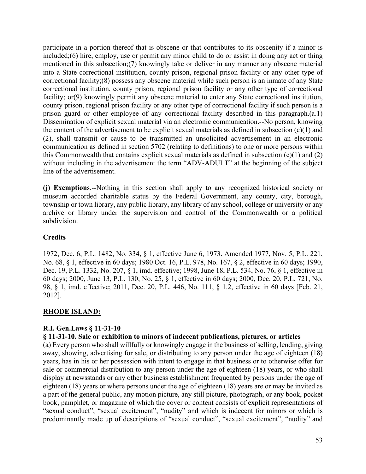participate in a portion thereof that is obscene or that contributes to its obscenity if a minor is included;(6) hire, employ, use or permit any minor child to do or assist in doing any act or thing mentioned in this subsection;(7) knowingly take or deliver in any manner any obscene material into a State correctional institution, county prison, regional prison facility or any other type of correctional facility;(8) possess any obscene material while such person is an inmate of any State correctional institution, county prison, regional prison facility or any other type of correctional facility; or(9) knowingly permit any obscene material to enter any State correctional institution, county prison, regional prison facility or any other type of correctional facility if such person is a prison guard or other employee of any correctional facility described in this paragraph.(a.1) Dissemination of explicit sexual material via an electronic communication.--No person, knowing the content of the advertisement to be explicit sexual materials as defined in subsection (c)(1) and (2), shall transmit or cause to be transmitted an unsolicited advertisement in an electronic communication as defined in section 5702 (relating to definitions) to one or more persons within this Commonwealth that contains explicit sexual materials as defined in subsection (c)(1) and (2) without including in the advertisement the term "ADV-ADULT" at the beginning of the subject line of the advertisement.

**(j) Exemptions**.--Nothing in this section shall apply to any recognized historical society or museum accorded charitable status by the Federal Government, any county, city, borough, township or town library, any public library, any library of any school, college or university or any archive or library under the supervision and control of the Commonwealth or a political subdivision.

# **Credits**

1972, Dec. 6, P.L. 1482, No. 334, § 1, effective June 6, 1973. Amended 1977, Nov. 5, P.L. 221, No. 68, § 1, effective in 60 days; 1980 Oct. 16, P.L. 978, No. 167, § 2, effective in 60 days; 1990, Dec. 19, P.L. 1332, No. 207, § 1, imd. effective; 1998, June 18, P.L. 534, No. 76, § 1, effective in 60 days; 2000, June 13, P.L. 130, No. 25, § 1, effective in 60 days; 2000, Dec. 20, P.L. 721, No. 98, § 1, imd. effective; 2011, Dec. 20, P.L. 446, No. 111, § 1.2, effective in 60 days [Feb. 21, 2012].

# **RHODE ISLAND:**

#### **R.I. Gen.Laws § 11-31-10**

# **§ 11-31-10. Sale or exhibition to minors of indecent publications, pictures, or articles**

(a) Every person who shall willfully or knowingly engage in the business of selling, lending, giving away, showing, advertising for sale, or distributing to any person under the age of eighteen (18) years, has in his or her possession with intent to engage in that business or to otherwise offer for sale or commercial distribution to any person under the age of eighteen (18) years, or who shall display at newsstands or any other business establishment frequented by persons under the age of eighteen (18) years or where persons under the age of eighteen (18) years are or may be invited as a part of the general public, any motion picture, any still picture, photograph, or any book, pocket book, pamphlet, or magazine of which the cover or content consists of explicit representations of "sexual conduct", "sexual excitement", "nudity" and which is indecent for minors or which is predominantly made up of descriptions of "sexual conduct", "sexual excitement", "nudity" and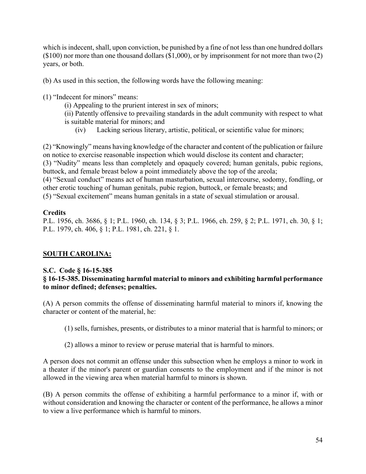which is indecent, shall, upon conviction, be punished by a fine of not less than one hundred dollars (\$100) nor more than one thousand dollars (\$1,000), or by imprisonment for not more than two (2) years, or both.

(b) As used in this section, the following words have the following meaning:

(1) "Indecent for minors" means:

(i) Appealing to the prurient interest in sex of minors;

(ii) Patently offensive to prevailing standards in the adult community with respect to what is suitable material for minors; and

(iv) Lacking serious literary, artistic, political, or scientific value for minors;

(2) "Knowingly" means having knowledge of the character and content of the publication or failure on notice to exercise reasonable inspection which would disclose its content and character; (3) "Nudity" means less than completely and opaquely covered; human genitals, pubic regions, buttock, and female breast below a point immediately above the top of the areola; (4) "Sexual conduct" means act of human masturbation, sexual intercourse, sodomy, fondling, or other erotic touching of human genitals, pubic region, buttock, or female breasts; and (5) "Sexual excitement" means human genitals in a state of sexual stimulation or arousal.

# **Credits**

P.L. 1956, ch. 3686, § 1; P.L. 1960, ch. 134, § 3; P.L. 1966, ch. 259, § 2; P.L. 1971, ch. 30, § 1; P.L. 1979, ch. 406, § 1; P.L. 1981, ch. 221, § 1.

# **SOUTH CAROLINA:**

# **S.C. Code § 16-15-385**

# **§ 16-15-385. Disseminating harmful material to minors and exhibiting harmful performance to minor defined; defenses; penalties.**

(A) A person commits the offense of disseminating harmful material to minors if, knowing the character or content of the material, he:

(1) sells, furnishes, presents, or distributes to a minor material that is harmful to minors; or

(2) allows a minor to review or peruse material that is harmful to minors.

A person does not commit an offense under this subsection when he employs a minor to work in a theater if the minor's parent or guardian consents to the employment and if the minor is not allowed in the viewing area when material harmful to minors is shown.

(B) A person commits the offense of exhibiting a harmful performance to a minor if, with or without consideration and knowing the character or content of the performance, he allows a minor to view a live performance which is harmful to minors.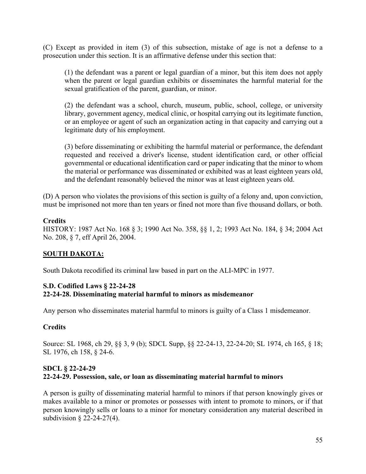(C) Except as provided in item (3) of this subsection, mistake of age is not a defense to a prosecution under this section. It is an affirmative defense under this section that:

(1) the defendant was a parent or legal guardian of a minor, but this item does not apply when the parent or legal guardian exhibits or disseminates the harmful material for the sexual gratification of the parent, guardian, or minor.

(2) the defendant was a school, church, museum, public, school, college, or university library, government agency, medical clinic, or hospital carrying out its legitimate function, or an employee or agent of such an organization acting in that capacity and carrying out a legitimate duty of his employment.

(3) before disseminating or exhibiting the harmful material or performance, the defendant requested and received a driver's license, student identification card, or other official governmental or educational identification card or paper indicating that the minor to whom the material or performance was disseminated or exhibited was at least eighteen years old, and the defendant reasonably believed the minor was at least eighteen years old.

(D) A person who violates the provisions of this section is guilty of a felony and, upon conviction, must be imprisoned not more than ten years or fined not more than five thousand dollars, or both.

### **Credits**

HISTORY: 1987 Act No. 168 § 3; 1990 Act No. 358, §§ 1, 2; 1993 Act No. 184, § 34; 2004 Act No. 208, § 7, eff April 26, 2004.

# **SOUTH DAKOTA:**

South Dakota recodified its criminal law based in part on the ALI-MPC in 1977.

### **S.D. Codified Laws § 22-24-28 22-24-28. Disseminating material harmful to minors as misdemeanor**

Any person who disseminates material harmful to minors is guilty of a Class 1 misdemeanor.

#### **Credits**

Source: SL 1968, ch 29, §§ 3, 9 (b); SDCL Supp, §§ 22-24-13, 22-24-20; SL 1974, ch 165, § 18; SL 1976, ch 158, § 24-6.

# **SDCL § 22-24-29 22-24-29. Possession, sale, or loan as disseminating material harmful to minors**

A person is guilty of disseminating material harmful to minors if that person knowingly gives or makes available to a minor or promotes or possesses with intent to promote to minors, or if that person knowingly sells or loans to a minor for monetary consideration any material described in subdivision § 22-24-27(4).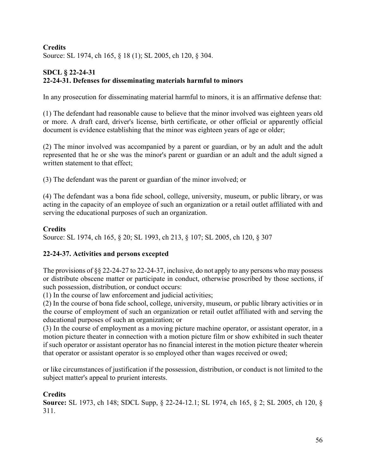# **Credits** Source: SL 1974, ch 165, § 18 (1); SL 2005, ch 120, § 304.

# **SDCL § 22-24-31 22-24-31. Defenses for disseminating materials harmful to minors**

In any prosecution for disseminating material harmful to minors, it is an affirmative defense that:

(1) The defendant had reasonable cause to believe that the minor involved was eighteen years old or more. A draft card, driver's license, birth certificate, or other official or apparently official document is evidence establishing that the minor was eighteen years of age or older;

(2) The minor involved was accompanied by a parent or guardian, or by an adult and the adult represented that he or she was the minor's parent or guardian or an adult and the adult signed a written statement to that effect;

(3) The defendant was the parent or guardian of the minor involved; or

(4) The defendant was a bona fide school, college, university, museum, or public library, or was acting in the capacity of an employee of such an organization or a retail outlet affiliated with and serving the educational purposes of such an organization.

# **Credits**

Source: SL 1974, ch 165, § 20; SL 1993, ch 213, § 107; SL 2005, ch 120, § 307

# **22-24-37. Activities and persons excepted**

The provisions of §§ 22-24-27 to 22-24-37, inclusive, do not apply to any persons who may possess or distribute obscene matter or participate in conduct, otherwise proscribed by those sections, if such possession, distribution, or conduct occurs:

(1) In the course of law enforcement and judicial activities;

(2) In the course of bona fide school, college, university, museum, or public library activities or in the course of employment of such an organization or retail outlet affiliated with and serving the educational purposes of such an organization; or

(3) In the course of employment as a moving picture machine operator, or assistant operator, in a motion picture theater in connection with a motion picture film or show exhibited in such theater if such operator or assistant operator has no financial interest in the motion picture theater wherein that operator or assistant operator is so employed other than wages received or owed;

or like circumstances of justification if the possession, distribution, or conduct is not limited to the subject matter's appeal to prurient interests.

# **Credits**

**Source:** SL 1973, ch 148; SDCL Supp, § 22-24-12.1; SL 1974, ch 165, § 2; SL 2005, ch 120, § 311.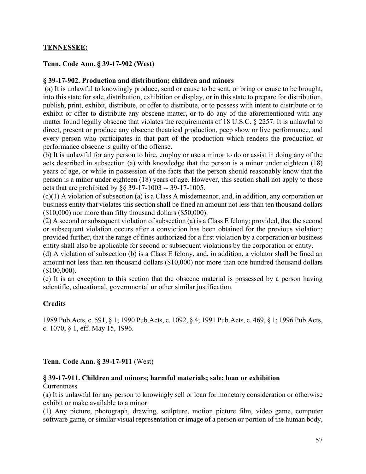# **TENNESSEE:**

### **Tenn. Code Ann. § 39-17-902 (West)**

#### **§ 39-17-902. Production and distribution; children and minors**

(a) It is unlawful to knowingly produce, send or cause to be sent, or bring or cause to be brought, into this state for sale, distribution, exhibition or display, or in this state to prepare for distribution, publish, print, exhibit, distribute, or offer to distribute, or to possess with intent to distribute or to exhibit or offer to distribute any obscene matter, or to do any of the aforementioned with any matter found legally obscene that violates the requirements of 18 U.S.C. § 2257. It is unlawful to direct, present or produce any obscene theatrical production, peep show or live performance, and every person who participates in that part of the production which renders the production or performance obscene is guilty of the offense.

(b) It is unlawful for any person to hire, employ or use a minor to do or assist in doing any of the acts described in subsection (a) with knowledge that the person is a minor under eighteen (18) years of age, or while in possession of the facts that the person should reasonably know that the person is a minor under eighteen (18) years of age. However, this section shall not apply to those acts that are prohibited by §§ 39-17-1003 -- 39-17-1005.

(c)(1) A violation of subsection (a) is a Class A misdemeanor, and, in addition, any corporation or business entity that violates this section shall be fined an amount not less than ten thousand dollars (\$10,000) nor more than fifty thousand dollars (\$50,000).

(2) A second or subsequent violation of subsection (a) is a Class E felony; provided, that the second or subsequent violation occurs after a conviction has been obtained for the previous violation; provided further, that the range of fines authorized for a first violation by a corporation or business entity shall also be applicable for second or subsequent violations by the corporation or entity.

(d) A violation of subsection (b) is a Class E felony, and, in addition, a violator shall be fined an amount not less than ten thousand dollars (\$10,000) nor more than one hundred thousand dollars (\$100,000).

(e) It is an exception to this section that the obscene material is possessed by a person having scientific, educational, governmental or other similar justification.

#### **Credits**

1989 Pub.Acts, c. 591, § 1; 1990 Pub.Acts, c. 1092, § 4; 1991 Pub.Acts, c. 469, § 1; 1996 Pub.Acts, c. 1070, § 1, eff. May 15, 1996.

#### **Tenn. Code Ann. § 39-17-911** (West)

#### **§ 39-17-911. Children and minors; harmful materials; sale; loan or exhibition**

#### **Currentness**

(a) It is unlawful for any person to knowingly sell or loan for monetary consideration or otherwise exhibit or make available to a minor:

(1) Any picture, photograph, drawing, sculpture, motion picture film, video game, computer software game, or similar visual representation or image of a person or portion of the human body,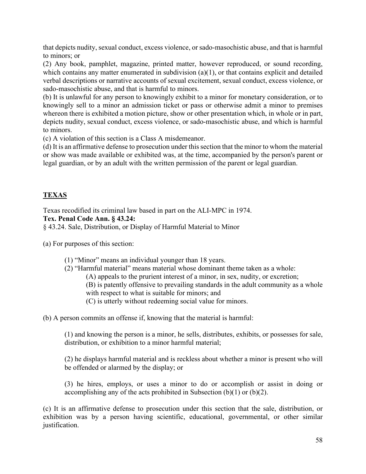that depicts nudity, sexual conduct, excess violence, or sado-masochistic abuse, and that is harmful to minors; or

(2) Any book, pamphlet, magazine, printed matter, however reproduced, or sound recording, which contains any matter enumerated in subdivision  $(a)(1)$ , or that contains explicit and detailed verbal descriptions or narrative accounts of sexual excitement, sexual conduct, excess violence, or sado-masochistic abuse, and that is harmful to minors.

(b) It is unlawful for any person to knowingly exhibit to a minor for monetary consideration, or to knowingly sell to a minor an admission ticket or pass or otherwise admit a minor to premises whereon there is exhibited a motion picture, show or other presentation which, in whole or in part, depicts nudity, sexual conduct, excess violence, or sado-masochistic abuse, and which is harmful to minors.

(c) A violation of this section is a Class A misdemeanor.

(d) It is an affirmative defense to prosecution under this section that the minor to whom the material or show was made available or exhibited was, at the time, accompanied by the person's parent or legal guardian, or by an adult with the written permission of the parent or legal guardian.

# **TEXAS**

Texas recodified its criminal law based in part on the ALI-MPC in 1974. **Tex. Penal Code Ann. § 43.24:**

§ 43.24. Sale, Distribution, or Display of Harmful Material to Minor

(a) For purposes of this section:

(1) "Minor" means an individual younger than 18 years.

(2) "Harmful material" means material whose dominant theme taken as a whole:

(A) appeals to the prurient interest of a minor, in sex, nudity, or excretion;

(B) is patently offensive to prevailing standards in the adult community as a whole with respect to what is suitable for minors; and

(C) is utterly without redeeming social value for minors.

(b) A person commits an offense if, knowing that the material is harmful:

(1) and knowing the person is a minor, he sells, distributes, exhibits, or possesses for sale, distribution, or exhibition to a minor harmful material;

(2) he displays harmful material and is reckless about whether a minor is present who will be offended or alarmed by the display; or

(3) he hires, employs, or uses a minor to do or accomplish or assist in doing or accomplishing any of the acts prohibited in Subsection  $(b)(1)$  or  $(b)(2)$ .

(c) It is an affirmative defense to prosecution under this section that the sale, distribution, or exhibition was by a person having scientific, educational, governmental, or other similar justification.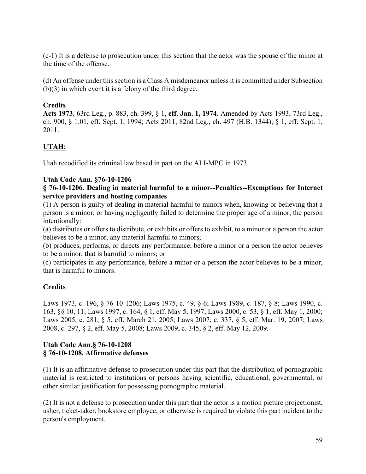(c-1) It is a defense to prosecution under this section that the actor was the spouse of the minor at the time of the offense.

(d) An offense under this section is a Class A misdemeanor unless it is committed under Subsection (b)(3) in which event it is a felony of the third degree.

# **Credits**

**Acts 1973**, 63rd Leg., p. 883, ch. 399, § 1, **eff. Jan. 1, 1974**. Amended by Acts 1993, 73rd Leg., ch. 900, § 1.01, eff. Sept. 1, 1994; Acts 2011, 82nd Leg., ch. 497 (H.B. 1344), § 1, eff. Sept. 1, 2011.

# **UTAH:**

Utah recodified its criminal law based in part on the ALI-MPC in 1973.

### **Utah Code Ann. §76-10-1206**

#### **§ 76-10-1206. Dealing in material harmful to a minor--Penalties--Exemptions for Internet service providers and hosting companies**

(1) A person is guilty of dealing in material harmful to minors when, knowing or believing that a person is a minor, or having negligently failed to determine the proper age of a minor, the person intentionally:

(a) distributes or offers to distribute, or exhibits or offers to exhibit, to a minor or a person the actor believes to be a minor, any material harmful to minors;

(b) produces, performs, or directs any performance, before a minor or a person the actor believes to be a minor, that is harmful to minors; or

(c) participates in any performance, before a minor or a person the actor believes to be a minor, that is harmful to minors.

# **Credits**

Laws 1973, c. 196, § 76-10-1206; Laws 1975, c. 49, § 6; Laws 1989, c. 187, § 8; Laws 1990, c. 163, §§ 10, 11; Laws 1997, c. 164, § 1, eff. May 5, 1997; Laws 2000, c. 53, § 1, eff. May 1, 2000; Laws 2005, c. 281, § 5, eff. March 21, 2005; Laws 2007, c. 337, § 5, eff. Mar. 19, 2007; Laws 2008, c. 297, § 2, eff. May 5, 2008; Laws 2009, c. 345, § 2, eff. May 12, 2009.

### **Utah Code Ann.§ 76-10-1208 § 76-10-1208. Affirmative defenses**

(1) It is an affirmative defense to prosecution under this part that the distribution of pornographic material is restricted to institutions or persons having scientific, educational, governmental, or other similar justification for possessing pornographic material.

(2) It is not a defense to prosecution under this part that the actor is a motion picture projectionist, usher, ticket-taker, bookstore employee, or otherwise is required to violate this part incident to the person's employment.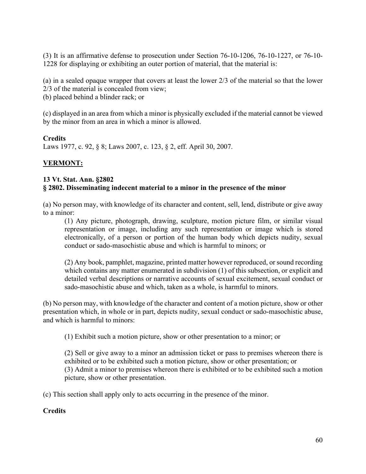(3) It is an affirmative defense to prosecution under Section 76-10-1206, 76-10-1227, or 76-10- 1228 for displaying or exhibiting an outer portion of material, that the material is:

(a) in a sealed opaque wrapper that covers at least the lower 2/3 of the material so that the lower

2/3 of the material is concealed from view;

(b) placed behind a blinder rack; or

(c) displayed in an area from which a minor is physically excluded if the material cannot be viewed by the minor from an area in which a minor is allowed.

### **Credits**

Laws 1977, c. 92, § 8; Laws 2007, c. 123, § 2, eff. April 30, 2007.

# **VERMONT:**

# **13 Vt. Stat. Ann. §2802 § 2802. Disseminating indecent material to a minor in the presence of the minor**

(a) No person may, with knowledge of its character and content, sell, lend, distribute or give away to a minor:

(1) Any picture, photograph, drawing, sculpture, motion picture film, or similar visual representation or image, including any such representation or image which is stored electronically, of a person or portion of the human body which depicts nudity, sexual conduct or sado-masochistic abuse and which is harmful to minors; or

(2) Any book, pamphlet, magazine, printed matter however reproduced, or sound recording which contains any matter enumerated in subdivision (1) of this subsection, or explicit and detailed verbal descriptions or narrative accounts of sexual excitement, sexual conduct or sado-masochistic abuse and which, taken as a whole, is harmful to minors.

(b) No person may, with knowledge of the character and content of a motion picture, show or other presentation which, in whole or in part, depicts nudity, sexual conduct or sado-masochistic abuse, and which is harmful to minors:

(1) Exhibit such a motion picture, show or other presentation to a minor; or

(2) Sell or give away to a minor an admission ticket or pass to premises whereon there is exhibited or to be exhibited such a motion picture, show or other presentation; or (3) Admit a minor to premises whereon there is exhibited or to be exhibited such a motion picture, show or other presentation.

(c) This section shall apply only to acts occurring in the presence of the minor.

# **Credits**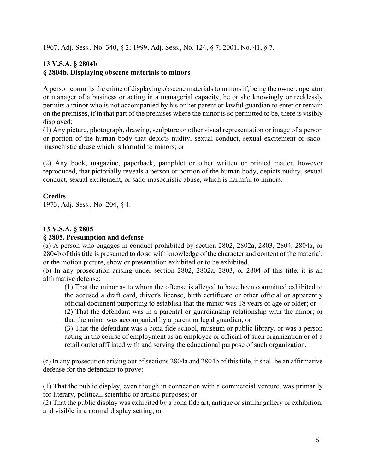1967, Adj. Sess., No. 340, § 2; 1999, Adj. Sess., No. 124, § 7; 2001, No. 41, § 7.

# **13 V.S.A. § 2804b § 2804b. Displaying obscene materials to minors**

A person commits the crime of displaying obscene materials to minors if, being the owner, operator or manager of a business or acting in a managerial capacity, he or she knowingly or recklessly permits a minor who is not accompanied by his or her parent or lawful guardian to enter or remain on the premises, if in that part of the premises where the minor is so permitted to be, there is visibly displayed:

(1) Any picture, photograph, drawing, sculpture or other visual representation or image of a person or portion of the human body that depicts nudity, sexual conduct, sexual excitement or sadomasochistic abuse which is harmful to minors; or

(2) Any book, magazine, paperback, pamphlet or other written or printed matter, however reproduced, that pictorially reveals a person or portion of the human body, depicts nudity, sexual conduct, sexual excitement, or sado-masochistic abuse, which is harmful to minors.

# **Credits**

1973, Adj. Sess., No. 204, § 4.

# **13 V.S.A. § 2805**

# **§ 2805. Presumption and defense**

(a) A person who engages in conduct prohibited by section 2802, 2802a, 2803, 2804, 2804a, or 2804b of this title is presumed to do so with knowledge of the character and content of the material, or the motion picture, show or presentation exhibited or to be exhibited.

(b) In any prosecution arising under section 2802, 2802a, 2803, or 2804 of this title, it is an affirmative defense:

(1) That the minor as to whom the offense is alleged to have been committed exhibited to the accused a draft card, driver's license, birth certificate or other official or apparently official document purporting to establish that the minor was 18 years of age or older; or

(2) That the defendant was in a parental or guardianship relationship with the minor; or that the minor was accompanied by a parent or legal guardian; or

(3) That the defendant was a bona fide school, museum or public library, or was a person acting in the course of employment as an employee or official of such organization or of a retail outlet affiliated with and serving the educational purpose of such organization.

(c) In any prosecution arising out of sections 2804a and 2804b of this title, it shall be an affirmative defense for the defendant to prove:

(1) That the public display, even though in connection with a commercial venture, was primarily for literary, political, scientific or artistic purposes; or

(2) That the public display was exhibited by a bona fide art, antique or similar gallery or exhibition, and visible in a normal display setting; or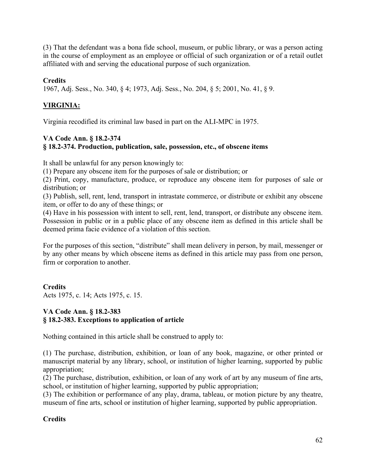(3) That the defendant was a bona fide school, museum, or public library, or was a person acting in the course of employment as an employee or official of such organization or of a retail outlet affiliated with and serving the educational purpose of such organization.

# **Credits**

1967, Adj. Sess., No. 340, § 4; 1973, Adj. Sess., No. 204, § 5; 2001, No. 41, § 9.

# **VIRGINIA:**

Virginia recodified its criminal law based in part on the ALI-MPC in 1975.

# **VA Code Ann. § 18.2-374 § 18.2-374. Production, publication, sale, possession, etc., of obscene items**

It shall be unlawful for any person knowingly to:

(1) Prepare any obscene item for the purposes of sale or distribution; or

(2) Print, copy, manufacture, produce, or reproduce any obscene item for purposes of sale or distribution; or

(3) Publish, sell, rent, lend, transport in intrastate commerce, or distribute or exhibit any obscene item, or offer to do any of these things; or

(4) Have in his possession with intent to sell, rent, lend, transport, or distribute any obscene item. Possession in public or in a public place of any obscene item as defined in this article shall be deemed prima facie evidence of a violation of this section.

For the purposes of this section, "distribute" shall mean delivery in person, by mail, messenger or by any other means by which obscene items as defined in this article may pass from one person, firm or corporation to another.

**Credits** Acts 1975, c. 14; Acts 1975, c. 15.

# **VA Code Ann. § 18.2-383 § 18.2-383. Exceptions to application of article**

Nothing contained in this article shall be construed to apply to:

(1) The purchase, distribution, exhibition, or loan of any book, magazine, or other printed or manuscript material by any library, school, or institution of higher learning, supported by public appropriation;

(2) The purchase, distribution, exhibition, or loan of any work of art by any museum of fine arts, school, or institution of higher learning, supported by public appropriation;

(3) The exhibition or performance of any play, drama, tableau, or motion picture by any theatre, museum of fine arts, school or institution of higher learning, supported by public appropriation.

# **Credits**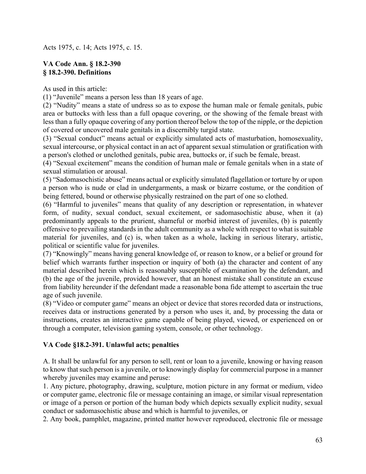Acts 1975, c. 14; Acts 1975, c. 15.

# **VA Code Ann. § 18.2-390 § 18.2-390. Definitions**

As used in this article:

(1) "Juvenile" means a person less than 18 years of age.

(2) "Nudity" means a state of undress so as to expose the human male or female genitals, pubic area or buttocks with less than a full opaque covering, or the showing of the female breast with less than a fully opaque covering of any portion thereof below the top of the nipple, or the depiction of covered or uncovered male genitals in a discernibly turgid state.

(3) "Sexual conduct" means actual or explicitly simulated acts of masturbation, homosexuality, sexual intercourse, or physical contact in an act of apparent sexual stimulation or gratification with a person's clothed or unclothed genitals, pubic area, buttocks or, if such be female, breast.

(4) "Sexual excitement" means the condition of human male or female genitals when in a state of sexual stimulation or arousal.

(5) "Sadomasochistic abuse" means actual or explicitly simulated flagellation or torture by or upon a person who is nude or clad in undergarments, a mask or bizarre costume, or the condition of being fettered, bound or otherwise physically restrained on the part of one so clothed.

(6) "Harmful to juveniles" means that quality of any description or representation, in whatever form, of nudity, sexual conduct, sexual excitement, or sadomasochistic abuse, when it (a) predominantly appeals to the prurient, shameful or morbid interest of juveniles, (b) is patently offensive to prevailing standards in the adult community as a whole with respect to what is suitable material for juveniles, and (c) is, when taken as a whole, lacking in serious literary, artistic, political or scientific value for juveniles.

(7) "Knowingly" means having general knowledge of, or reason to know, or a belief or ground for belief which warrants further inspection or inquiry of both (a) the character and content of any material described herein which is reasonably susceptible of examination by the defendant, and (b) the age of the juvenile, provided however, that an honest mistake shall constitute an excuse from liability hereunder if the defendant made a reasonable bona fide attempt to ascertain the true age of such juvenile.

(8) "Video or computer game" means an object or device that stores recorded data or instructions, receives data or instructions generated by a person who uses it, and, by processing the data or instructions, creates an interactive game capable of being played, viewed, or experienced on or through a computer, television gaming system, console, or other technology.

# **VA Code §18.2-391. Unlawful acts; penalties**

A. It shall be unlawful for any person to sell, rent or loan to a juvenile, knowing or having reason to know that such person is a juvenile, or to knowingly display for commercial purpose in a manner whereby juveniles may examine and peruse:

1. Any picture, photography, drawing, sculpture, motion picture in any format or medium, video or computer game, electronic file or message containing an image, or similar visual representation or image of a person or portion of the human body which depicts sexually explicit nudity, sexual conduct or sadomasochistic abuse and which is harmful to juveniles, or

2. Any book, pamphlet, magazine, printed matter however reproduced, electronic file or message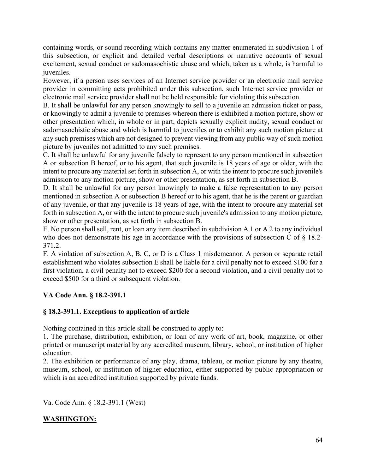containing words, or sound recording which contains any matter enumerated in subdivision 1 of this subsection, or explicit and detailed verbal descriptions or narrative accounts of sexual excitement, sexual conduct or sadomasochistic abuse and which, taken as a whole, is harmful to juveniles.

However, if a person uses services of an Internet service provider or an electronic mail service provider in committing acts prohibited under this subsection, such Internet service provider or electronic mail service provider shall not be held responsible for violating this subsection.

B. It shall be unlawful for any person knowingly to sell to a juvenile an admission ticket or pass, or knowingly to admit a juvenile to premises whereon there is exhibited a motion picture, show or other presentation which, in whole or in part, depicts sexually explicit nudity, sexual conduct or sadomasochistic abuse and which is harmful to juveniles or to exhibit any such motion picture at any such premises which are not designed to prevent viewing from any public way of such motion picture by juveniles not admitted to any such premises.

C. It shall be unlawful for any juvenile falsely to represent to any person mentioned in subsection A or subsection B hereof, or to his agent, that such juvenile is 18 years of age or older, with the intent to procure any material set forth in subsection A, or with the intent to procure such juvenile's admission to any motion picture, show or other presentation, as set forth in subsection B.

D. It shall be unlawful for any person knowingly to make a false representation to any person mentioned in subsection A or subsection B hereof or to his agent, that he is the parent or guardian of any juvenile, or that any juvenile is 18 years of age, with the intent to procure any material set forth in subsection A, or with the intent to procure such juvenile's admission to any motion picture, show or other presentation, as set forth in subsection B.

E. No person shall sell, rent, or loan any item described in subdivision A 1 or A 2 to any individual who does not demonstrate his age in accordance with the provisions of subsection C of  $\S$  18.2-371.2.

F. A violation of subsection A, B, C, or D is a Class 1 misdemeanor. A person or separate retail establishment who violates subsection E shall be liable for a civil penalty not to exceed \$100 for a first violation, a civil penalty not to exceed \$200 for a second violation, and a civil penalty not to exceed \$500 for a third or subsequent violation.

# **VA Code Ann. § 18.2-391.1**

# **§ 18.2-391.1. Exceptions to application of article**

Nothing contained in this article shall be construed to apply to:

1. The purchase, distribution, exhibition, or loan of any work of art, book, magazine, or other printed or manuscript material by any accredited museum, library, school, or institution of higher education.

2. The exhibition or performance of any play, drama, tableau, or motion picture by any theatre, museum, school, or institution of higher education, either supported by public appropriation or which is an accredited institution supported by private funds.

Va. Code Ann. § 18.2-391.1 (West)

# **WASHINGTON:**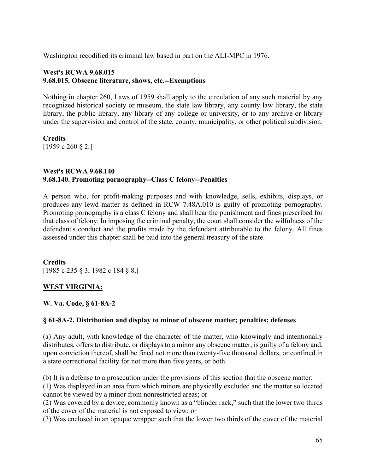Washington recodified its criminal law based in part on the ALI-MPC in 1976.

### **West's RCWA 9.68.015 9.68.015. Obscene literature, shows, etc.--Exemptions**

Nothing in chapter 260, Laws of 1959 shall apply to the circulation of any such material by any recognized historical society or museum, the state law library, any county law library, the state library, the public library, any library of any college or university, or to any archive or library under the supervision and control of the state, county, municipality, or other political subdivision.

**Credits** [1959 c 260 § 2.]

### **West's RCWA 9.68.140 9.68.140. Promoting pornography--Class C felony--Penalties**

A person who, for profit-making purposes and with knowledge, sells, exhibits, displays, or produces any lewd matter as defined in RCW 7.48A.010 is guilty of promoting pornography. Promoting pornography is a class C felony and shall bear the punishment and fines prescribed for that class of felony. In imposing the criminal penalty, the court shall consider the wilfulness of the defendant's conduct and the profits made by the defendant attributable to the felony. All fines assessed under this chapter shall be paid into the general treasury of the state.

**Credits** [1985 c 235 § 3; 1982 c 184 § 8.]

# **WEST VIRGINIA:**

**W. Va. Code, § 61-8A-2**

# **§ 61-8A-2. Distribution and display to minor of obscene matter; penalties; defenses**

(a) Any adult, with knowledge of the character of the matter, who knowingly and intentionally distributes, offers to distribute, or displays to a minor any obscene matter, is guilty of a felony and, upon conviction thereof, shall be fined not more than twenty-five thousand dollars, or confined in a state correctional facility for not more than five years, or both.

(b) It is a defense to a prosecution under the provisions of this section that the obscene matter:

(1) Was displayed in an area from which minors are physically excluded and the matter so located cannot be viewed by a minor from nonrestricted areas; or

(2) Was covered by a device, commonly known as a "blinder rack," such that the lower two thirds of the cover of the material is not exposed to view; or

(3) Was enclosed in an opaque wrapper such that the lower two thirds of the cover of the material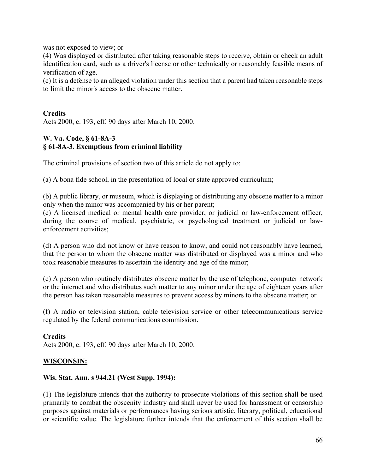was not exposed to view; or

(4) Was displayed or distributed after taking reasonable steps to receive, obtain or check an adult identification card, such as a driver's license or other technically or reasonably feasible means of verification of age.

(c) It is a defense to an alleged violation under this section that a parent had taken reasonable steps to limit the minor's access to the obscene matter.

# **Credits**

Acts 2000, c. 193, eff. 90 days after March 10, 2000.

# **W. Va. Code, § 61-8A-3 § 61-8A-3. Exemptions from criminal liability**

The criminal provisions of section two of this article do not apply to:

(a) A bona fide school, in the presentation of local or state approved curriculum;

(b) A public library, or museum, which is displaying or distributing any obscene matter to a minor only when the minor was accompanied by his or her parent;

(c) A licensed medical or mental health care provider, or judicial or law-enforcement officer, during the course of medical, psychiatric, or psychological treatment or judicial or lawenforcement activities;

(d) A person who did not know or have reason to know, and could not reasonably have learned, that the person to whom the obscene matter was distributed or displayed was a minor and who took reasonable measures to ascertain the identity and age of the minor;

(e) A person who routinely distributes obscene matter by the use of telephone, computer network or the internet and who distributes such matter to any minor under the age of eighteen years after the person has taken reasonable measures to prevent access by minors to the obscene matter; or

(f) A radio or television station, cable television service or other telecommunications service regulated by the federal communications commission.

# **Credits**

Acts 2000, c. 193, eff. 90 days after March 10, 2000.

# **WISCONSIN:**

#### **[Wis. Stat. Ann. s 944.21](http://www.westlaw.com/Link/Document/FullText?findType=L&pubNum=1000260&cite=WIST944.21&originatingDoc=I11888d61472711db876784559e94f880&refType=LQ&originationContext=document&vr=3.0&rs=cblt1.0&transitionType=DocumentItem&contextData=(sc.History*oc.Search)) (West Supp. 1994):**

(1) The legislature intends that the authority to prosecute violations of this section shall be used primarily to combat the obscenity industry and shall never be used for harassment or censorship purposes against materials or performances having serious artistic, literary, political, educational or scientific value. The legislature further intends that the enforcement of this section shall be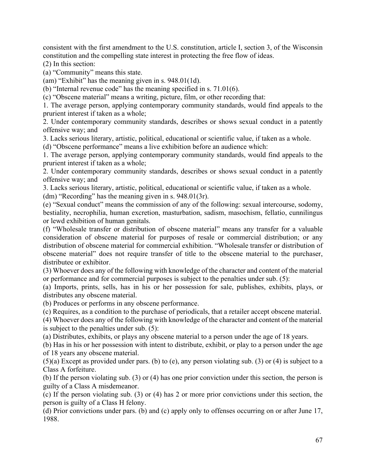consistent with the first amendment to the U.S. constitution, article I, section 3, of the Wisconsin constitution and the compelling state interest in protecting the free flow of ideas.

(2) In this section:

(a) "Community" means this state.

(am) "Exhibit" has the meaning given in s. 948.01(1d).

(b) "Internal revenue code" has the meaning specified in s. 71.01(6).

(c) "Obscene material" means a writing, picture, film, or other recording that:

1. The average person, applying contemporary community standards, would find appeals to the prurient interest if taken as a whole;

2. Under contemporary community standards, describes or shows sexual conduct in a patently offensive way; and

3. Lacks serious literary, artistic, political, educational or scientific value, if taken as a whole.

(d) "Obscene performance" means a live exhibition before an audience which:

1. The average person, applying contemporary community standards, would find appeals to the prurient interest if taken as a whole;

2. Under contemporary community standards, describes or shows sexual conduct in a patently offensive way; and

3. Lacks serious literary, artistic, political, educational or scientific value, if taken as a whole.

(dm) "Recording" has the meaning given in s. 948.01(3r).

(e) "Sexual conduct" means the commission of any of the following: sexual intercourse, sodomy, bestiality, necrophilia, human excretion, masturbation, sadism, masochism, fellatio, cunnilingus or lewd exhibition of human genitals.

(f) "Wholesale transfer or distribution of obscene material" means any transfer for a valuable consideration of obscene material for purposes of resale or commercial distribution; or any distribution of obscene material for commercial exhibition. "Wholesale transfer or distribution of obscene material" does not require transfer of title to the obscene material to the purchaser, distributee or exhibitor.

(3) Whoever does any of the following with knowledge of the character and content of the material or performance and for commercial purposes is subject to the penalties under sub. (5):

(a) Imports, prints, sells, has in his or her possession for sale, publishes, exhibits, plays, or distributes any obscene material.

(b) Produces or performs in any obscene performance.

(c) Requires, as a condition to the purchase of periodicals, that a retailer accept obscene material.

(4) Whoever does any of the following with knowledge of the character and content of the material is subject to the penalties under sub. (5):

(a) Distributes, exhibits, or plays any obscene material to a person under the age of 18 years.

(b) Has in his or her possession with intent to distribute, exhibit, or play to a person under the age of 18 years any obscene material.

(5)(a) Except as provided under pars. (b) to (e), any person violating sub. (3) or (4) is subject to a Class A forfeiture.

(b) If the person violating sub. (3) or (4) has one prior conviction under this section, the person is guilty of a Class A misdemeanor.

(c) If the person violating sub. (3) or (4) has 2 or more prior convictions under this section, the person is guilty of a Class H felony.

(d) Prior convictions under pars. (b) and (c) apply only to offenses occurring on or after June 17, 1988.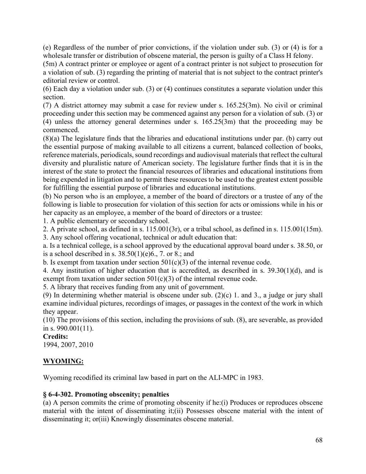(e) Regardless of the number of prior convictions, if the violation under sub. (3) or (4) is for a wholesale transfer or distribution of obscene material, the person is guilty of a Class H felony.

(5m) A contract printer or employee or agent of a contract printer is not subject to prosecution for a violation of sub. (3) regarding the printing of material that is not subject to the contract printer's editorial review or control.

(6) Each day a violation under sub. (3) or (4) continues constitutes a separate violation under this section.

(7) A district attorney may submit a case for review under s. 165.25(3m). No civil or criminal proceeding under this section may be commenced against any person for a violation of sub. (3) or (4) unless the attorney general determines under s. 165.25(3m) that the proceeding may be commenced.

(8)(a) The legislature finds that the libraries and educational institutions under par. (b) carry out the essential purpose of making available to all citizens a current, balanced collection of books, reference materials, periodicals, sound recordings and audiovisual materials that reflect the cultural diversity and pluralistic nature of American society. The legislature further finds that it is in the interest of the state to protect the financial resources of libraries and educational institutions from being expended in litigation and to permit these resources to be used to the greatest extent possible for fulfilling the essential purpose of libraries and educational institutions.

(b) No person who is an employee, a member of the board of directors or a trustee of any of the following is liable to prosecution for violation of this section for acts or omissions while in his or her capacity as an employee, a member of the board of directors or a trustee:

1. A public elementary or secondary school.

2. A private school, as defined in s. 115.001(3r), or a tribal school, as defined in s. 115.001(15m).

3. Any school offering vocational, technical or adult education that:

a. Is a technical college, is a school approved by the educational approval board under s. 38.50, or is a school described in s.  $38.50(1)(e)6$ ., 7. or 8.; and

b. Is exempt from taxation under section  $501(c)(3)$  of the internal revenue code.

4. Any institution of higher education that is accredited, as described in s. 39.30(1)(d), and is exempt from taxation under section  $501(c)(3)$  of the internal revenue code.

5. A library that receives funding from any unit of government.

(9) In determining whether material is obscene under sub. (2)(c) 1. and 3., a judge or jury shall examine individual pictures, recordings of images, or passages in the context of the work in which they appear.

(10) The provisions of this section, including the provisions of sub. (8), are severable, as provided in s. 990.001(11).

# **Credits:**

1994, 2007, 2010

# **WYOMING:**

Wyoming recodified its criminal law based in part on the ALI-MPC in 1983.

# **§ 6-4-302. Promoting obscenity; penalties**

(a) A person commits the crime of promoting obscenity if he:(i) Produces or reproduces obscene material with the intent of disseminating it;(ii) Possesses obscene material with the intent of disseminating it; or(iii) Knowingly disseminates obscene material.